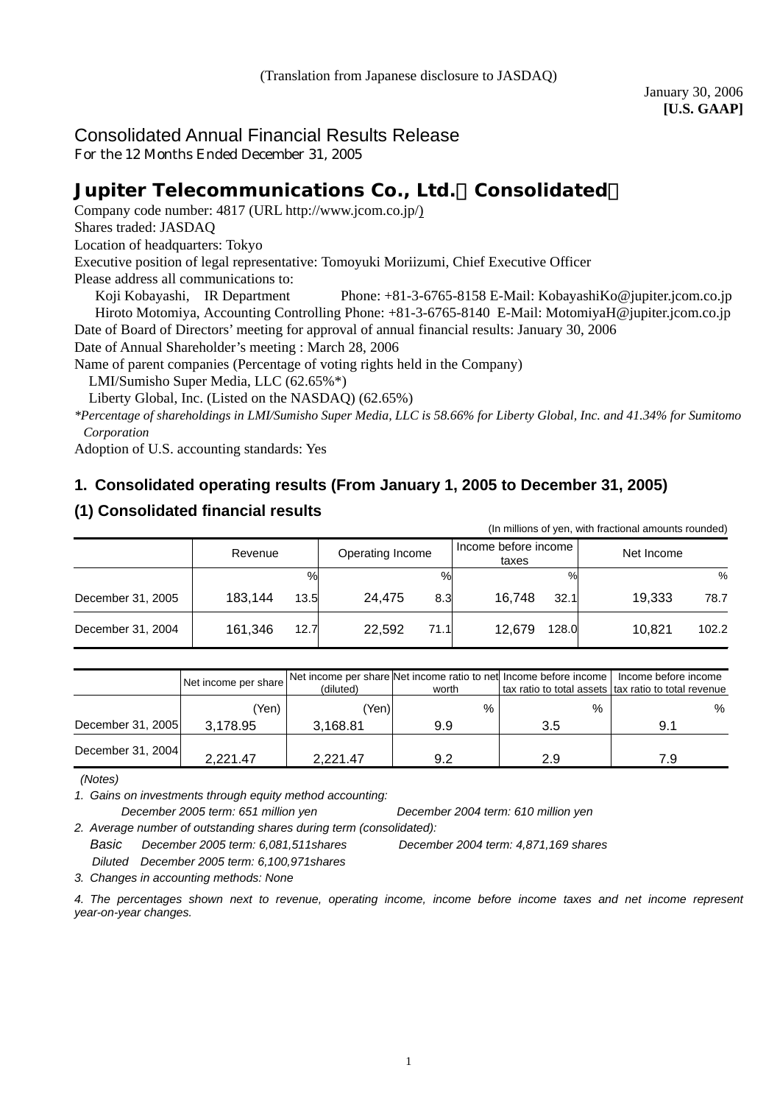# Consolidated Annual Financial Results Release

For the 12 Months Ended December 31, 2005

# **Jupiter Telecommunications Co., Ltd.**(**Consolidated**)

Company code number: 4817 (URL [http://www.jcom.co.jp/](http://www.jcomxxxxxxxxx.co.jp/))

Shares traded: JASDAQ

Location of headquarters: Tokyo

Executive position of legal representative: Tomoyuki Moriizumi, Chief Executive Officer

Please address all communications to:

 Koji Kobayashi, IR Department Phone: +81-3-6765-8158 E-Mail: [KobayashiKo@jupiter.jcom.co.jp](mailto:KobayashiKo@jupiter.jcom.co.jp) Hiroto Motomiya, Accounting Controlling Phone: +81-3-6765-8140 E-Mail: MotomiyaH@jupiter.jcom.co.jp Date of Board of Directors' meeting for approval of annual financial results: January 30, 2006

Date of Annual Shareholder's meeting : March 28, 2006

Name of parent companies (Percentage of voting rights held in the Company)

LMI/Sumisho Super Media, LLC (62.65%\*)

Liberty Global, Inc. (Listed on the NASDAQ) (62.65%)

*\*Percentage of shareholdings in LMI/Sumisho Super Media, LLC is 58.66% for Liberty Global, Inc. and 41.34% for Sumitomo Corporation*

Adoption of U.S. accounting standards: Yes

# **1. Consolidated operating results (From January 1, 2005 to December 31, 2005)**

# **(1) Consolidated financial results**

|                   | (In millions of yen, with fractional amounts rounded) |                  |                               |                 |  |  |  |
|-------------------|-------------------------------------------------------|------------------|-------------------------------|-----------------|--|--|--|
|                   | Revenue                                               | Operating Income | Income before income<br>taxes | Net Income      |  |  |  |
|                   | %                                                     | %                | $\frac{0}{0}$                 | %               |  |  |  |
| December 31, 2005 | 183.144<br>13.5                                       | 24.475<br>8.3    | 16.748<br>32.1                | 19.333<br>78.7  |  |  |  |
| December 31, 2004 | 161,346<br>12.7                                       | 22.592<br>71.1   | 12.679<br>128.0               | 10.821<br>102.2 |  |  |  |

|                   | Net income per share | (diluted) | worth | Net income per share Net income ratio to net Income before income | Income before income<br>tax ratio to total assets   tax ratio to total revenue |
|-------------------|----------------------|-----------|-------|-------------------------------------------------------------------|--------------------------------------------------------------------------------|
|                   | 'Yen)                | 'Yen)     | $\%$  | $\%$                                                              | %                                                                              |
| December 31, 2005 | 3.178.95             | 3,168.81  | 9.9   | 3.5                                                               | 9.1                                                                            |
| December 31, 2004 | 2.221.47             | 2.221.47  | 9.2   | 2.9                                                               | 7.9                                                                            |

 *(Notes)* 

*1. Gains on investments through equity method accounting:* 

*December 2005 term: 651 million yen December 2004 term: 610 million yen 2. Average number of outstanding shares during term (consolidated):* 

*Basic December 2005 term: 6,081,511shares December 2004 term: 4,871,169 shares* 

 *Diluted December 2005 term: 6,100,971shares*

*3. Changes in accounting methods: None*

*4. The percentages shown next to revenue, operating income, income before income taxes and net income represent year-on-year changes.*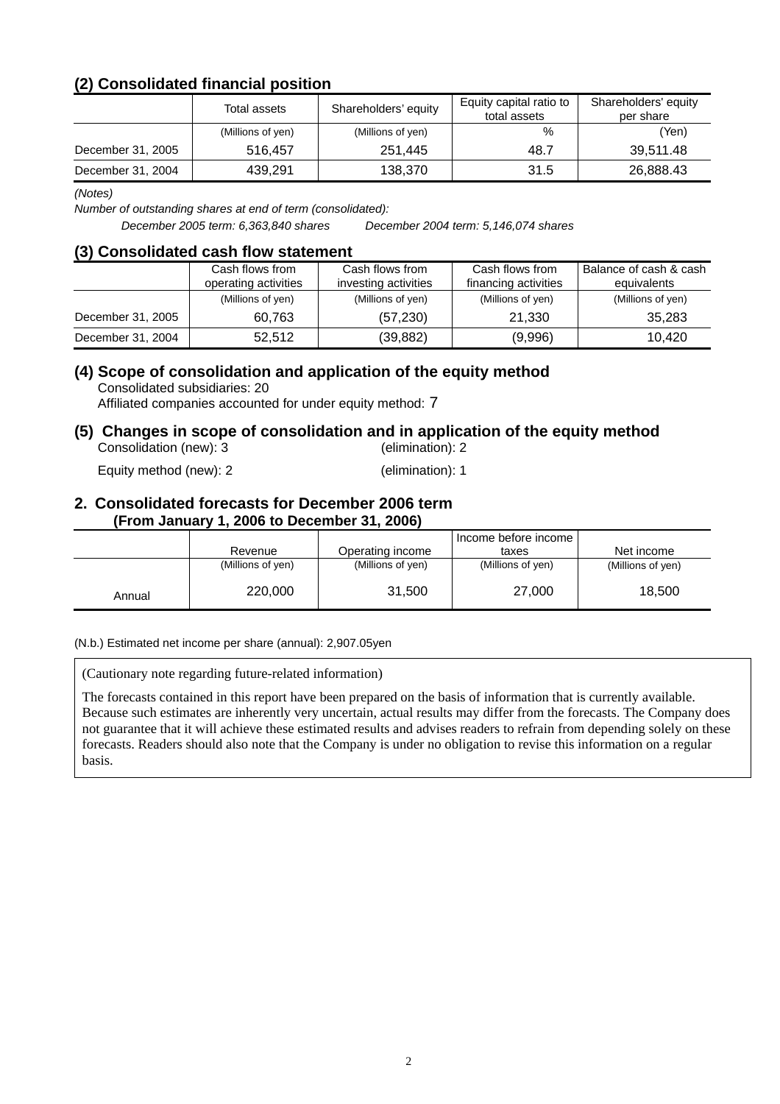# **(2) Consolidated financial position**

|                   | Total assets      | Shareholders' equity | Equity capital ratio to<br>total assets | Shareholders' equity<br>per share |
|-------------------|-------------------|----------------------|-----------------------------------------|-----------------------------------|
|                   | (Millions of yen) | (Millions of yen)    | %                                       | (Yen)                             |
| December 31, 2005 | 516.457           | 251.445              | 48.7                                    | 39.511.48                         |
| December 31, 2004 | 439.291           | 138,370              | 31.5                                    | 26,888.43                         |

*(Notes)* 

*Number of outstanding shares at end of term (consolidated):* 

*December 2005 term: 6,363,840 shares December 2004 term: 5,146,074 shares*

#### **(3) Consolidated cash flow statement**

|                   | Cash flows from<br>operating activities | Cash flows from<br>investing activities | Cash flows from<br>financing activities | Balance of cash & cash<br>equivalents |
|-------------------|-----------------------------------------|-----------------------------------------|-----------------------------------------|---------------------------------------|
|                   | (Millions of yen)                       | (Millions of yen)                       | (Millions of yen)                       | (Millions of yen)                     |
| December 31, 2005 | 60.763                                  | (57, 230)                               | 21,330                                  | 35,283                                |
| December 31, 2004 | 52.512                                  | (39, 882)                               | (9,996)                                 | 10.420                                |

# **(4) Scope of consolidation and application of the equity method**

Consolidated subsidiaries: 20

Affiliated companies accounted for under equity method: 7

#### **(5) Changes in scope of consolidation and in application of the equity method**  Consolidation (new): 3 (elimination): 2

Equity method (new): 2 (elimination): 1

#### **2. Consolidated forecasts for December 2006 term (From January 1, 2006 to December 31, 2006)**

|        |                   |                   | Income before income I |                   |
|--------|-------------------|-------------------|------------------------|-------------------|
|        | Revenue           | Operating income  | taxes                  | Net income        |
|        | (Millions of yen) | (Millions of yen) | (Millions of yen)      | (Millions of yen) |
| Annual | 220,000           | 31,500            | 27,000                 | 18,500            |

(N.b.) Estimated net income per share (annual): 2,907.05yen

(Cautionary note regarding future-related information)

The forecasts contained in this report have been prepared on the basis of information that is currently available. Because such estimates are inherently very uncertain, actual results may differ from the forecasts. The Company does not guarantee that it will achieve these estimated results and advises readers to refrain from depending solely on these forecasts. Readers should also note that the Company is under no obligation to revise this information on a regular basis.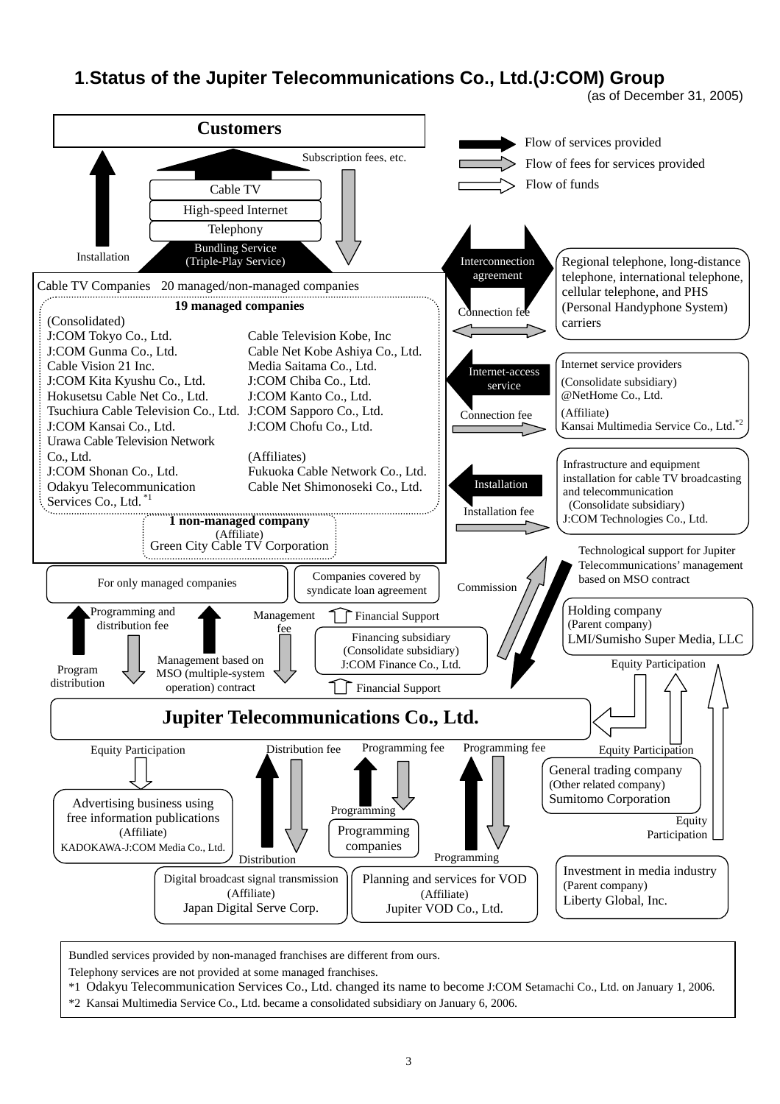# **1**.**Status of the Jupiter Telecommunications Co., Ltd.(J:COM) Group**

(as of December 31, 2005)



Bundled services provided by non-managed franchises are different from ours.

Telephony services are not provided at some managed franchises.

- \*1 Odakyu Telecommunication Services Co., Ltd. changed its name to become J:COM Setamachi Co., Ltd. on January 1, 2006.
- \*2 Kansai Multimedia Service Co., Ltd. became a consolidated subsidiary on January 6, 2006.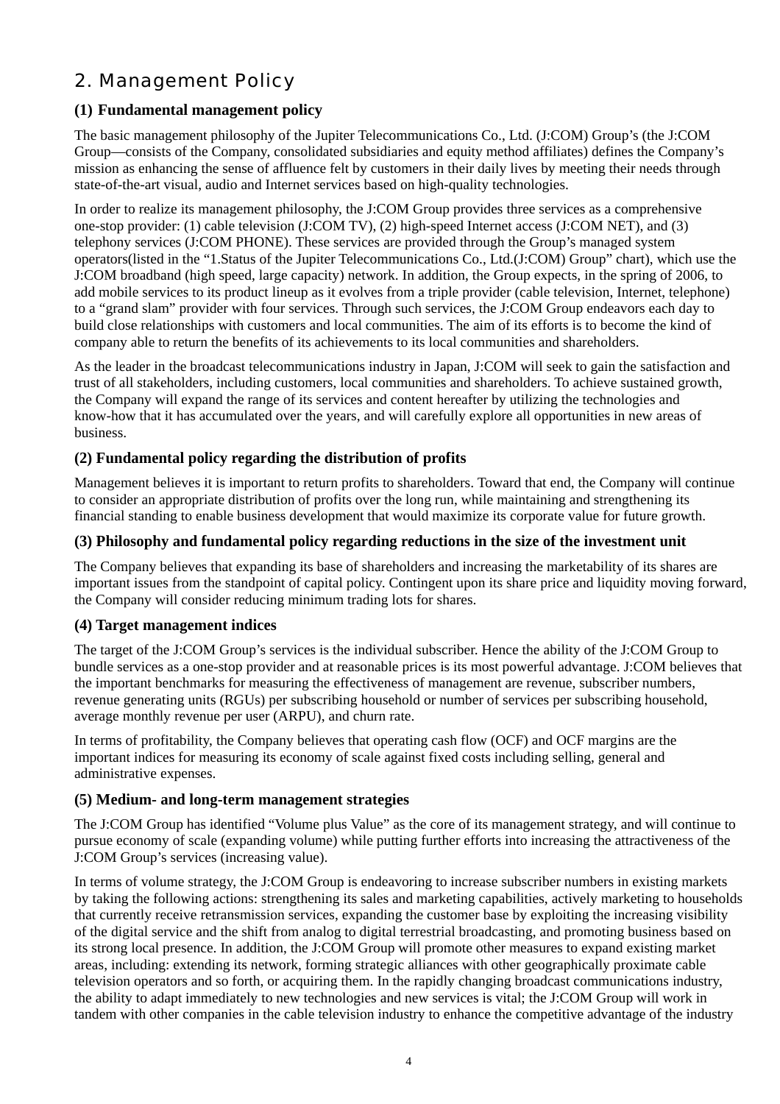# 2. Management Policy

# **(1) Fundamental management policy**

The basic management philosophy of the Jupiter Telecommunications Co., Ltd. (J:COM) Group's (the J:COM Group—consists of the Company, consolidated subsidiaries and equity method affiliates) defines the Company's mission as enhancing the sense of affluence felt by customers in their daily lives by meeting their needs through state-of-the-art visual, audio and Internet services based on high-quality technologies.

In order to realize its management philosophy, the J:COM Group provides three services as a comprehensive one-stop provider: (1) cable television (J:COM TV), (2) high-speed Internet access (J:COM NET), and (3) telephony services (J:COM PHONE). These services are provided through the Group's managed system operators(listed in the "1.Status of the Jupiter Telecommunications Co., Ltd.(J:COM) Group" chart), which use the J:COM broadband (high speed, large capacity) network. In addition, the Group expects, in the spring of 2006, to add mobile services to its product lineup as it evolves from a triple provider (cable television, Internet, telephone) to a "grand slam" provider with four services. Through such services, the J:COM Group endeavors each day to build close relationships with customers and local communities. The aim of its efforts is to become the kind of company able to return the benefits of its achievements to its local communities and shareholders.

As the leader in the broadcast telecommunications industry in Japan, J:COM will seek to gain the satisfaction and trust of all stakeholders, including customers, local communities and shareholders. To achieve sustained growth, the Company will expand the range of its services and content hereafter by utilizing the technologies and know-how that it has accumulated over the years, and will carefully explore all opportunities in new areas of business.

## **(2) Fundamental policy regarding the distribution of profits**

Management believes it is important to return profits to shareholders. Toward that end, the Company will continue to consider an appropriate distribution of profits over the long run, while maintaining and strengthening its financial standing to enable business development that would maximize its corporate value for future growth.

### **(3) Philosophy and fundamental policy regarding reductions in the size of the investment unit**

The Company believes that expanding its base of shareholders and increasing the marketability of its shares are important issues from the standpoint of capital policy. Contingent upon its share price and liquidity moving forward, the Company will consider reducing minimum trading lots for shares.

#### **(4) Target management indices**

The target of the J:COM Group's services is the individual subscriber. Hence the ability of the J:COM Group to bundle services as a one-stop provider and at reasonable prices is its most powerful advantage. J:COM believes that the important benchmarks for measuring the effectiveness of management are revenue, subscriber numbers, revenue generating units (RGUs) per subscribing household or number of services per subscribing household, average monthly revenue per user (ARPU), and churn rate.

In terms of profitability, the Company believes that operating cash flow (OCF) and OCF margins are the important indices for measuring its economy of scale against fixed costs including selling, general and administrative expenses.

## **(5) Medium- and long-term management strategies**

The J:COM Group has identified "Volume plus Value" as the core of its management strategy, and will continue to pursue economy of scale (expanding volume) while putting further efforts into increasing the attractiveness of the J:COM Group's services (increasing value).

In terms of volume strategy, the J:COM Group is endeavoring to increase subscriber numbers in existing markets by taking the following actions: strengthening its sales and marketing capabilities, actively marketing to households that currently receive retransmission services, expanding the customer base by exploiting the increasing visibility of the digital service and the shift from analog to digital terrestrial broadcasting, and promoting business based on its strong local presence. In addition, the J:COM Group will promote other measures to expand existing market areas, including: extending its network, forming strategic alliances with other geographically proximate cable television operators and so forth, or acquiring them. In the rapidly changing broadcast communications industry, the ability to adapt immediately to new technologies and new services is vital; the J:COM Group will work in tandem with other companies in the cable television industry to enhance the competitive advantage of the industry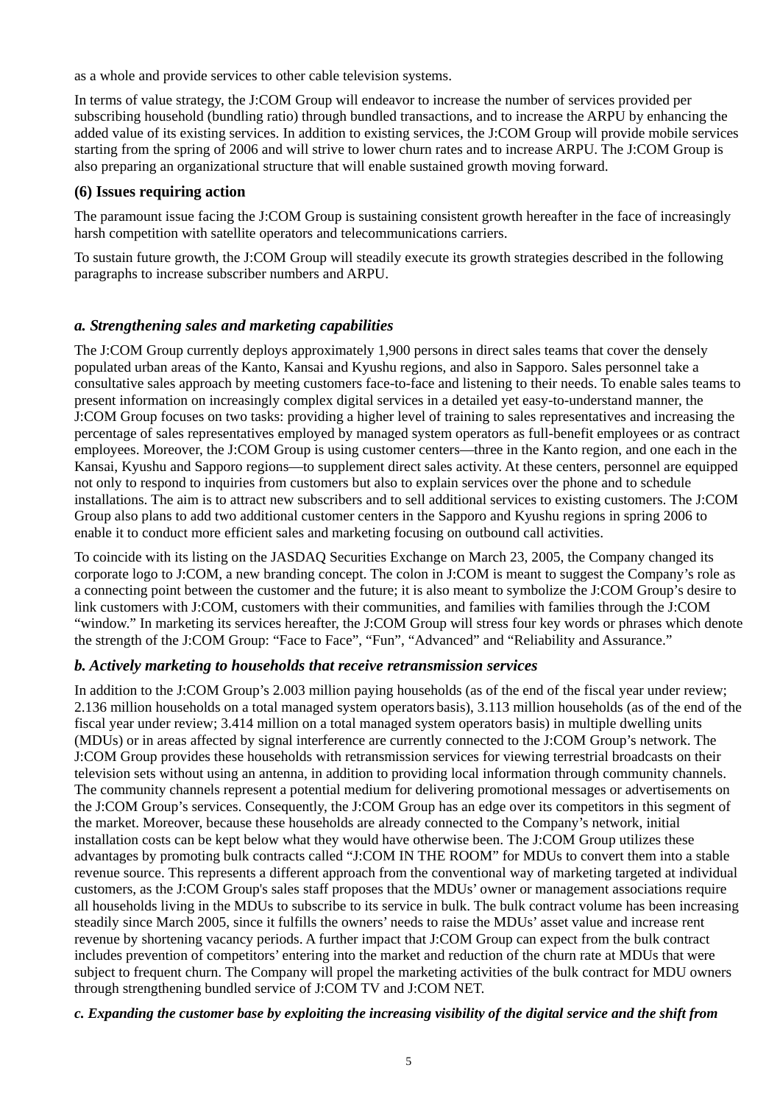as a whole and provide services to other cable television systems.

In terms of value strategy, the J:COM Group will endeavor to increase the number of services provided per subscribing household (bundling ratio) through bundled transactions, and to increase the ARPU by enhancing the added value of its existing services. In addition to existing services, the J:COM Group will provide mobile services starting from the spring of 2006 and will strive to lower churn rates and to increase ARPU. The J:COM Group is also preparing an organizational structure that will enable sustained growth moving forward.

## **(6) Issues requiring action**

The paramount issue facing the J:COM Group is sustaining consistent growth hereafter in the face of increasingly harsh competition with satellite operators and telecommunications carriers.

To sustain future growth, the J:COM Group will steadily execute its growth strategies described in the following paragraphs to increase subscriber numbers and ARPU.

### *a. Strengthening sales and marketing capabilities*

The J:COM Group currently deploys approximately 1,900 persons in direct sales teams that cover the densely populated urban areas of the Kanto, Kansai and Kyushu regions, and also in Sapporo. Sales personnel take a consultative sales approach by meeting customers face-to-face and listening to their needs. To enable sales teams to present information on increasingly complex digital services in a detailed yet easy-to-understand manner, the J:COM Group focuses on two tasks: providing a higher level of training to sales representatives and increasing the percentage of sales representatives employed by managed system operators as full-benefit employees or as contract employees. Moreover, the J:COM Group is using customer centers—three in the Kanto region, and one each in the Kansai, Kyushu and Sapporo regions—to supplement direct sales activity. At these centers, personnel are equipped not only to respond to inquiries from customers but also to explain services over the phone and to schedule installations. The aim is to attract new subscribers and to sell additional services to existing customers. The J:COM Group also plans to add two additional customer centers in the Sapporo and Kyushu regions in spring 2006 to enable it to conduct more efficient sales and marketing focusing on outbound call activities.

To coincide with its listing on the JASDAQ Securities Exchange on March 23, 2005, the Company changed its corporate logo to J:COM, a new branding concept. The colon in J:COM is meant to suggest the Company's role as a connecting point between the customer and the future; it is also meant to symbolize the J:COM Group's desire to link customers with J:COM, customers with their communities, and families with families through the J:COM "window." In marketing its services hereafter, the J:COM Group will stress four key words or phrases which denote the strength of the J:COM Group: "Face to Face", "Fun", "Advanced" and "Reliability and Assurance."

#### *b. Actively marketing to households that receive retransmission services*

In addition to the J:COM Group's 2.003 million paying households (as of the end of the fiscal year under review; 2.136 million households on a total managed system operators basis), 3.113 million households (as of the end of the fiscal year under review; 3.414 million on a total managed system operators basis) in multiple dwelling units (MDUs) or in areas affected by signal interference are currently connected to the J:COM Group's network. The J:COM Group provides these households with retransmission services for viewing terrestrial broadcasts on their television sets without using an antenna, in addition to providing local information through community channels. The community channels represent a potential medium for delivering promotional messages or advertisements on the J:COM Group's services. Consequently, the J:COM Group has an edge over its competitors in this segment of the market. Moreover, because these households are already connected to the Company's network, initial installation costs can be kept below what they would have otherwise been. The J:COM Group utilizes these advantages by promoting bulk contracts called "J:COM IN THE ROOM" for MDUs to convert them into a stable revenue source. This represents a different approach from the conventional way of marketing targeted at individual customers, as the J:COM Group's sales staff proposes that the MDUs' owner or management associations require all households living in the MDUs to subscribe to its service in bulk. The bulk contract volume has been increasing steadily since March 2005, since it fulfills the owners' needs to raise the MDUs' asset value and increase rent revenue by shortening vacancy periods. A further impact that J:COM Group can expect from the bulk contract includes prevention of competitors' entering into the market and reduction of the churn rate at MDUs that were subject to frequent churn. The Company will propel the marketing activities of the bulk contract for MDU owners through strengthening bundled service of J:COM TV and J:COM NET.

#### *c. Expanding the customer base by exploiting the increasing visibility of the digital service and the shift from*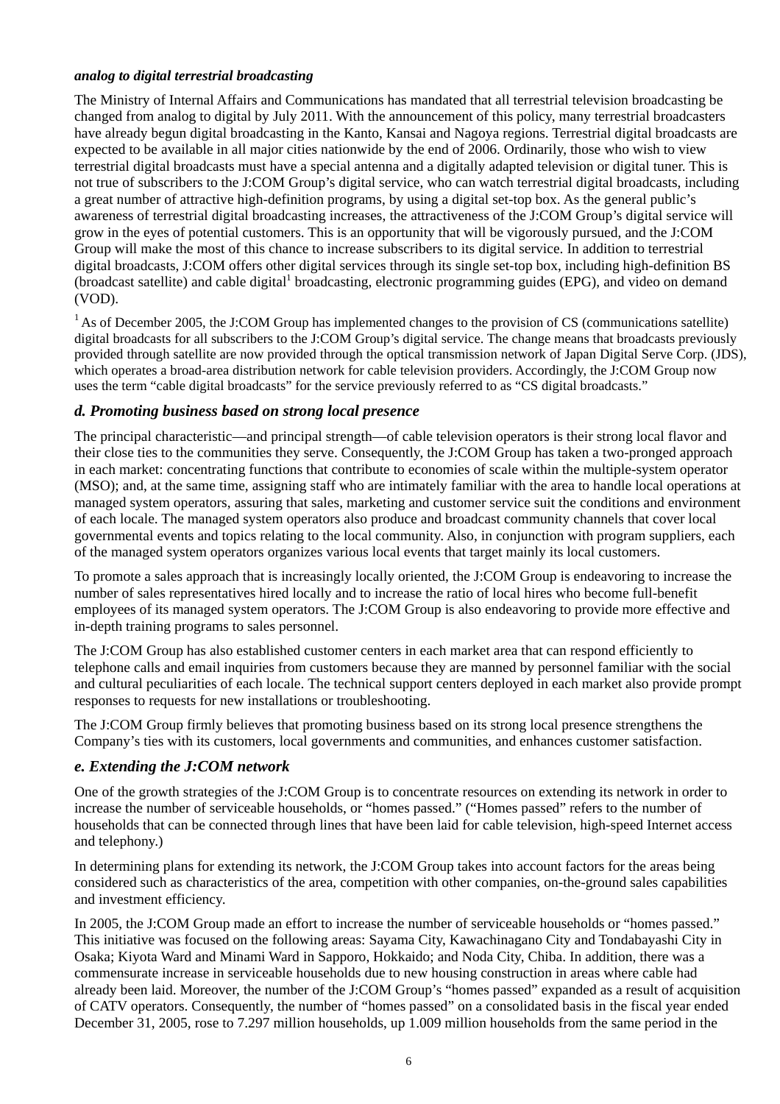#### *analog to digital terrestrial broadcasting*

The Ministry of Internal Affairs and Communications has mandated that all terrestrial television broadcasting be changed from analog to digital by July 2011. With the announcement of this policy, many terrestrial broadcasters have already begun digital broadcasting in the Kanto, Kansai and Nagoya regions. Terrestrial digital broadcasts are expected to be available in all major cities nationwide by the end of 2006. Ordinarily, those who wish to view terrestrial digital broadcasts must have a special antenna and a digitally adapted television or digital tuner. This is not true of subscribers to the J:COM Group's digital service, who can watch terrestrial digital broadcasts, including a great number of attractive high-definition programs, by using a digital set-top box. As the general public's awareness of terrestrial digital broadcasting increases, the attractiveness of the J:COM Group's digital service will grow in the eyes of potential customers. This is an opportunity that will be vigorously pursued, and the J:COM Group will make the most of this chance to increase subscribers to its digital service. In addition to terrestrial digital broadcasts, J:COM offers other digital services through its single set-top box, including high-definition BS (broadcast satellite) and cable digital<sup>1</sup> broadcasting, electronic programming guides (EPG), and video on demand (VOD).

 $<sup>1</sup>$  As of December 2005, the J:COM Group has implemented changes to the provision of CS (communications satellite)</sup> digital broadcasts for all subscribers to the J:COM Group's digital service. The change means that broadcasts previously provided through satellite are now provided through the optical transmission network of Japan Digital Serve Corp. (JDS), which operates a broad-area distribution network for cable television providers. Accordingly, the J:COM Group now uses the term "cable digital broadcasts" for the service previously referred to as "CS digital broadcasts."

#### *d. Promoting business based on strong local presence*

The principal characteristic—and principal strength—of cable television operators is their strong local flavor and their close ties to the communities they serve. Consequently, the J:COM Group has taken a two-pronged approach in each market: concentrating functions that contribute to economies of scale within the multiple-system operator (MSO); and, at the same time, assigning staff who are intimately familiar with the area to handle local operations at managed system operators, assuring that sales, marketing and customer service suit the conditions and environment of each locale. The managed system operators also produce and broadcast community channels that cover local governmental events and topics relating to the local community. Also, in conjunction with program suppliers, each of the managed system operators organizes various local events that target mainly its local customers.

To promote a sales approach that is increasingly locally oriented, the J:COM Group is endeavoring to increase the number of sales representatives hired locally and to increase the ratio of local hires who become full-benefit employees of its managed system operators. The J:COM Group is also endeavoring to provide more effective and in-depth training programs to sales personnel.

The J:COM Group has also established customer centers in each market area that can respond efficiently to telephone calls and email inquiries from customers because they are manned by personnel familiar with the social and cultural peculiarities of each locale. The technical support centers deployed in each market also provide prompt responses to requests for new installations or troubleshooting.

The J:COM Group firmly believes that promoting business based on its strong local presence strengthens the Company's ties with its customers, local governments and communities, and enhances customer satisfaction.

#### *e. Extending the J:COM network*

One of the growth strategies of the J:COM Group is to concentrate resources on extending its network in order to increase the number of serviceable households, or "homes passed." ("Homes passed" refers to the number of households that can be connected through lines that have been laid for cable television, high-speed Internet access and telephony.)

In determining plans for extending its network, the J:COM Group takes into account factors for the areas being considered such as characteristics of the area, competition with other companies, on-the-ground sales capabilities and investment efficiency.

In 2005, the J:COM Group made an effort to increase the number of serviceable households or "homes passed." This initiative was focused on the following areas: Sayama City, Kawachinagano City and Tondabayashi City in Osaka; Kiyota Ward and Minami Ward in Sapporo, Hokkaido; and Noda City, Chiba. In addition, there was a commensurate increase in serviceable households due to new housing construction in areas where cable had already been laid. Moreover, the number of the J:COM Group's "homes passed" expanded as a result of acquisition of CATV operators. Consequently, the number of "homes passed" on a consolidated basis in the fiscal year ended December 31, 2005, rose to 7.297 million households, up 1.009 million households from the same period in the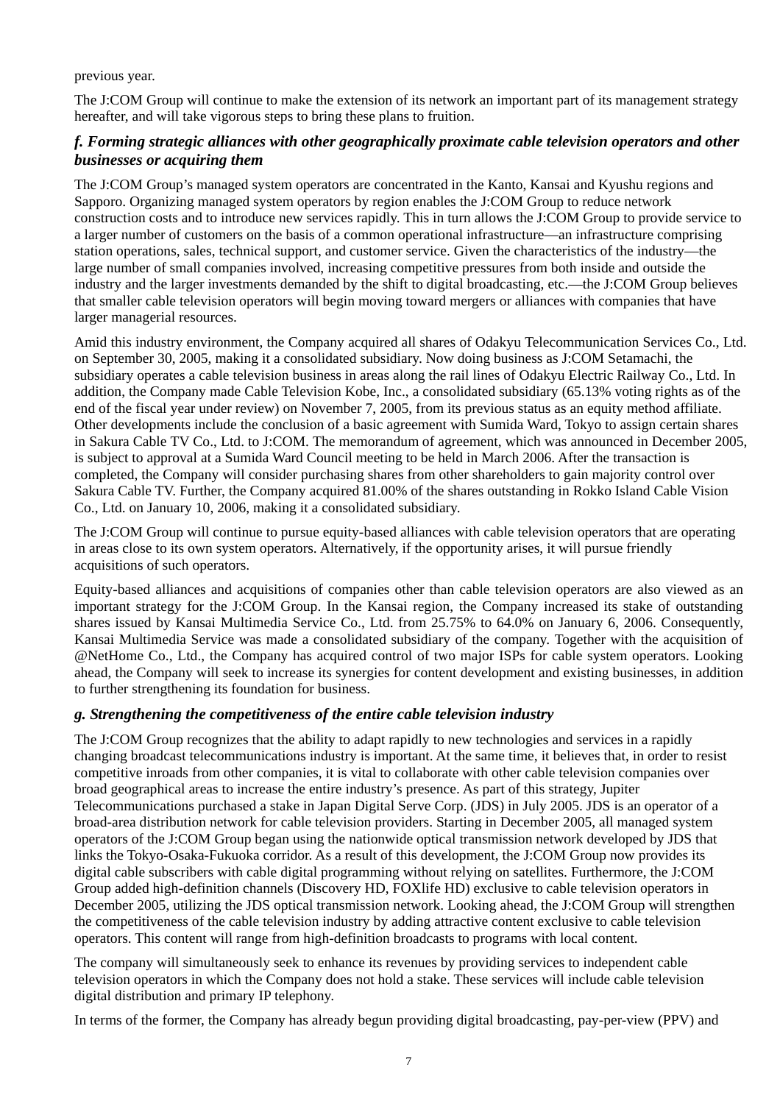previous year.

The J:COM Group will continue to make the extension of its network an important part of its management strategy hereafter, and will take vigorous steps to bring these plans to fruition.

## *f. Forming strategic alliances with other geographically proximate cable television operators and other businesses or acquiring them*

The J:COM Group's managed system operators are concentrated in the Kanto, Kansai and Kyushu regions and Sapporo. Organizing managed system operators by region enables the J:COM Group to reduce network construction costs and to introduce new services rapidly. This in turn allows the J:COM Group to provide service to a larger number of customers on the basis of a common operational infrastructure—an infrastructure comprising station operations, sales, technical support, and customer service. Given the characteristics of the industry—the large number of small companies involved, increasing competitive pressures from both inside and outside the industry and the larger investments demanded by the shift to digital broadcasting, etc.—the J:COM Group believes that smaller cable television operators will begin moving toward mergers or alliances with companies that have larger managerial resources.

Amid this industry environment, the Company acquired all shares of Odakyu Telecommunication Services Co., Ltd. on September 30, 2005, making it a consolidated subsidiary. Now doing business as J:COM Setamachi, the subsidiary operates a cable television business in areas along the rail lines of Odakyu Electric Railway Co., Ltd. In addition, the Company made Cable Television Kobe, Inc., a consolidated subsidiary (65.13% voting rights as of the end of the fiscal year under review) on November 7, 2005, from its previous status as an equity method affiliate. Other developments include the conclusion of a basic agreement with Sumida Ward, Tokyo to assign certain shares in Sakura Cable TV Co., Ltd. to J:COM. The memorandum of agreement, which was announced in December 2005, is subject to approval at a Sumida Ward Council meeting to be held in March 2006. After the transaction is completed, the Company will consider purchasing shares from other shareholders to gain majority control over Sakura Cable TV. Further, the Company acquired 81.00% of the shares outstanding in Rokko Island Cable Vision Co., Ltd. on January 10, 2006, making it a consolidated subsidiary.

The J:COM Group will continue to pursue equity-based alliances with cable television operators that are operating in areas close to its own system operators. Alternatively, if the opportunity arises, it will pursue friendly acquisitions of such operators.

Equity-based alliances and acquisitions of companies other than cable television operators are also viewed as an important strategy for the J:COM Group. In the Kansai region, the Company increased its stake of outstanding shares issued by Kansai Multimedia Service Co., Ltd. from 25.75% to 64.0% on January 6, 2006. Consequently, Kansai Multimedia Service was made a consolidated subsidiary of the company. Together with the acquisition of @NetHome Co., Ltd., the Company has acquired control of two major ISPs for cable system operators. Looking ahead, the Company will seek to increase its synergies for content development and existing businesses, in addition to further strengthening its foundation for business.

#### *g. Strengthening the competitiveness of the entire cable television industry*

The J:COM Group recognizes that the ability to adapt rapidly to new technologies and services in a rapidly changing broadcast telecommunications industry is important. At the same time, it believes that, in order to resist competitive inroads from other companies, it is vital to collaborate with other cable television companies over broad geographical areas to increase the entire industry's presence. As part of this strategy, Jupiter Telecommunications purchased a stake in Japan Digital Serve Corp. (JDS) in July 2005. JDS is an operator of a broad-area distribution network for cable television providers. Starting in December 2005, all managed system operators of the J:COM Group began using the nationwide optical transmission network developed by JDS that links the Tokyo-Osaka-Fukuoka corridor. As a result of this development, the J:COM Group now provides its digital cable subscribers with cable digital programming without relying on satellites. Furthermore, the J:COM Group added high-definition channels (Discovery HD, FOXlife HD) exclusive to cable television operators in December 2005, utilizing the JDS optical transmission network. Looking ahead, the J:COM Group will strengthen the competitiveness of the cable television industry by adding attractive content exclusive to cable television operators. This content will range from high-definition broadcasts to programs with local content.

The company will simultaneously seek to enhance its revenues by providing services to independent cable television operators in which the Company does not hold a stake. These services will include cable television digital distribution and primary IP telephony.

In terms of the former, the Company has already begun providing digital broadcasting, pay-per-view (PPV) and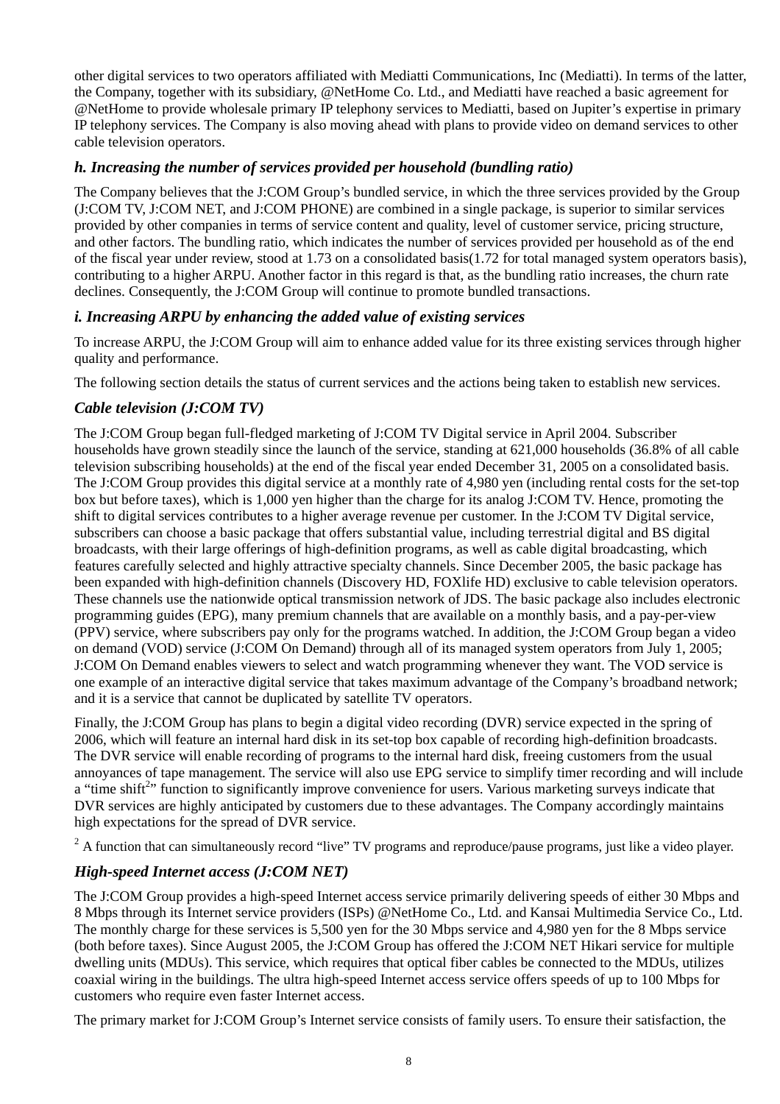other digital services to two operators affiliated with Mediatti Communications, Inc (Mediatti). In terms of the latter, the Company, together with its subsidiary, @NetHome Co. Ltd., and Mediatti have reached a basic agreement for @NetHome to provide wholesale primary IP telephony services to Mediatti, based on Jupiter's expertise in primary IP telephony services. The Company is also moving ahead with plans to provide video on demand services to other cable television operators.

## *h. Increasing the number of services provided per household (bundling ratio)*

The Company believes that the J:COM Group's bundled service, in which the three services provided by the Group (J:COM TV, J:COM NET, and J:COM PHONE) are combined in a single package, is superior to similar services provided by other companies in terms of service content and quality, level of customer service, pricing structure, and other factors. The bundling ratio, which indicates the number of services provided per household as of the end of the fiscal year under review, stood at 1.73 on a consolidated basis(1.72 for total managed system operators basis), contributing to a higher ARPU. Another factor in this regard is that, as the bundling ratio increases, the churn rate declines. Consequently, the J:COM Group will continue to promote bundled transactions.

### *i. Increasing ARPU by enhancing the added value of existing services*

To increase ARPU, the J:COM Group will aim to enhance added value for its three existing services through higher quality and performance.

The following section details the status of current services and the actions being taken to establish new services.

## *Cable television (J:COM TV)*

The J:COM Group began full-fledged marketing of J:COM TV Digital service in April 2004. Subscriber households have grown steadily since the launch of the service, standing at 621,000 households (36.8% of all cable television subscribing households) at the end of the fiscal year ended December 31, 2005 on a consolidated basis. The J:COM Group provides this digital service at a monthly rate of 4,980 yen (including rental costs for the set-top box but before taxes), which is 1,000 yen higher than the charge for its analog J:COM TV. Hence, promoting the shift to digital services contributes to a higher average revenue per customer. In the J:COM TV Digital service, subscribers can choose a basic package that offers substantial value, including terrestrial digital and BS digital broadcasts, with their large offerings of high-definition programs, as well as cable digital broadcasting, which features carefully selected and highly attractive specialty channels. Since December 2005, the basic package has been expanded with high-definition channels (Discovery HD, FOXlife HD) exclusive to cable television operators. These channels use the nationwide optical transmission network of JDS. The basic package also includes electronic programming guides (EPG), many premium channels that are available on a monthly basis, and a pay-per-view (PPV) service, where subscribers pay only for the programs watched. In addition, the J:COM Group began a video on demand (VOD) service (J:COM On Demand) through all of its managed system operators from July 1, 2005; J:COM On Demand enables viewers to select and watch programming whenever they want. The VOD service is one example of an interactive digital service that takes maximum advantage of the Company's broadband network; and it is a service that cannot be duplicated by satellite TV operators.

Finally, the J:COM Group has plans to begin a digital video recording (DVR) service expected in the spring of 2006, which will feature an internal hard disk in its set-top box capable of recording high-definition broadcasts. The DVR service will enable recording of programs to the internal hard disk, freeing customers from the usual annoyances of tape management. The service will also use EPG service to simplify timer recording and will include a "time shift<sup>2</sup>" function to significantly improve convenience for users. Various marketing surveys indicate that DVR services are highly anticipated by customers due to these advantages. The Company accordingly maintains high expectations for the spread of DVR service.

<sup>2</sup> A function that can simultaneously record "live" TV programs and reproduce/pause programs, just like a video player.

## *High-speed Internet access (J:COM NET)*

The J:COM Group provides a high-speed Internet access service primarily delivering speeds of either 30 Mbps and 8 Mbps through its Internet service providers (ISPs) @NetHome Co., Ltd. and Kansai Multimedia Service Co., Ltd. The monthly charge for these services is 5,500 yen for the 30 Mbps service and 4,980 yen for the 8 Mbps service (both before taxes). Since August 2005, the J:COM Group has offered the J:COM NET Hikari service for multiple dwelling units (MDUs). This service, which requires that optical fiber cables be connected to the MDUs, utilizes coaxial wiring in the buildings. The ultra high-speed Internet access service offers speeds of up to 100 Mbps for customers who require even faster Internet access.

The primary market for J:COM Group's Internet service consists of family users. To ensure their satisfaction, the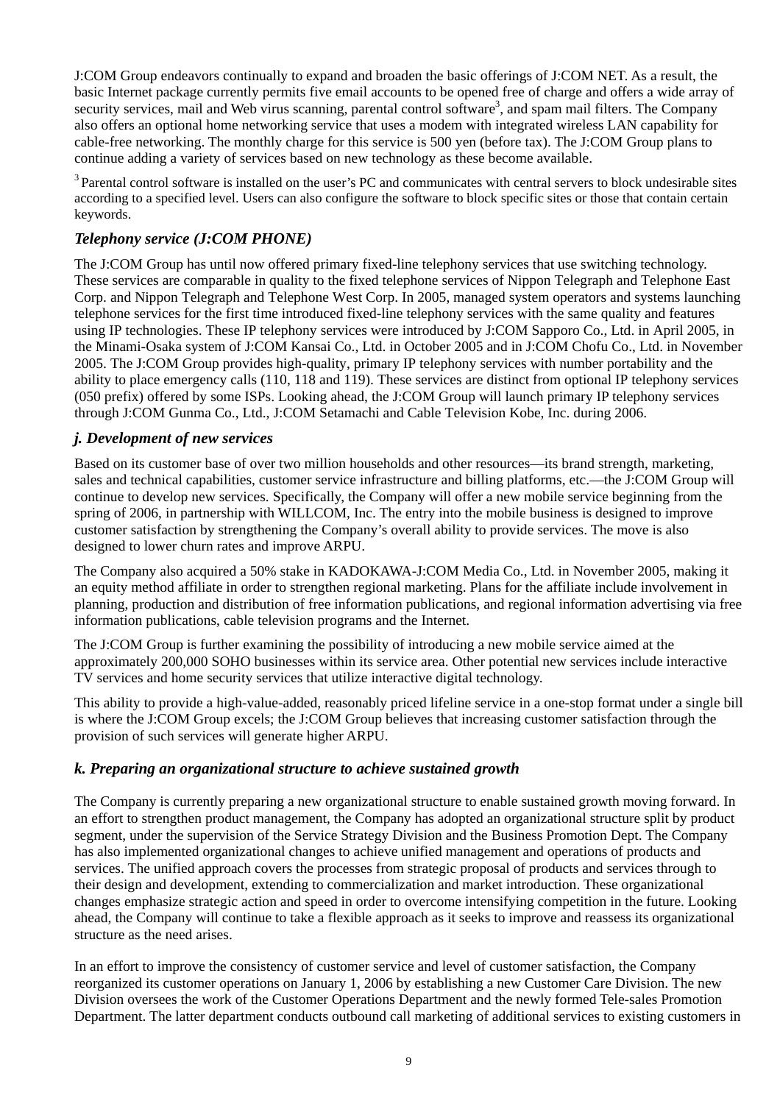J:COM Group endeavors continually to expand and broaden the basic offerings of J:COM NET. As a result, the basic Internet package currently permits five email accounts to be opened free of charge and offers a wide array of security services, mail and Web virus scanning, parental control software<sup>3</sup>, and spam mail filters. The Company also offers an optional home networking service that uses a modem with integrated wireless LAN capability for cable-free networking. The monthly charge for this service is 500 yen (before tax). The J:COM Group plans to continue adding a variety of services based on new technology as these become available.

<sup>3</sup> Parental control software is installed on the user's PC and communicates with central servers to block undesirable sites according to a specified level. Users can also configure the software to block specific sites or those that contain certain keywords.

## *Telephony service (J:COM PHONE)*

The J:COM Group has until now offered primary fixed-line telephony services that use switching technology. These services are comparable in quality to the fixed telephone services of Nippon Telegraph and Telephone East Corp. and Nippon Telegraph and Telephone West Corp. In 2005, managed system operators and systems launching telephone services for the first time introduced fixed-line telephony services with the same quality and features using IP technologies. These IP telephony services were introduced by J:COM Sapporo Co., Ltd. in April 2005, in the Minami-Osaka system of J:COM Kansai Co., Ltd. in October 2005 and in J:COM Chofu Co., Ltd. in November 2005. The J:COM Group provides high-quality, primary IP telephony services with number portability and the ability to place emergency calls (110, 118 and 119). These services are distinct from optional IP telephony services (050 prefix) offered by some ISPs. Looking ahead, the J:COM Group will launch primary IP telephony services through J:COM Gunma Co., Ltd., J:COM Setamachi and Cable Television Kobe, Inc. during 2006.

#### *j. Development of new services*

Based on its customer base of over two million households and other resources—its brand strength, marketing, sales and technical capabilities, customer service infrastructure and billing platforms, etc.—the J:COM Group will continue to develop new services. Specifically, the Company will offer a new mobile service beginning from the spring of 2006, in partnership with WILLCOM, Inc. The entry into the mobile business is designed to improve customer satisfaction by strengthening the Company's overall ability to provide services. The move is also designed to lower churn rates and improve ARPU.

The Company also acquired a 50% stake in KADOKAWA-J:COM Media Co., Ltd. in November 2005, making it an equity method affiliate in order to strengthen regional marketing. Plans for the affiliate include involvement in planning, production and distribution of free information publications, and regional information advertising via free information publications, cable television programs and the Internet.

The J:COM Group is further examining the possibility of introducing a new mobile service aimed at the approximately 200,000 SOHO businesses within its service area. Other potential new services include interactive TV services and home security services that utilize interactive digital technology.

This ability to provide a high-value-added, reasonably priced lifeline service in a one-stop format under a single bill is where the J:COM Group excels; the J:COM Group believes that increasing customer satisfaction through the provision of such services will generate higher ARPU.

#### *k. Preparing an organizational structure to achieve sustained growth*

The Company is currently preparing a new organizational structure to enable sustained growth moving forward. In an effort to strengthen product management, the Company has adopted an organizational structure split by product segment, under the supervision of the Service Strategy Division and the Business Promotion Dept. The Company has also implemented organizational changes to achieve unified management and operations of products and services. The unified approach covers the processes from strategic proposal of products and services through to their design and development, extending to commercialization and market introduction. These organizational changes emphasize strategic action and speed in order to overcome intensifying competition in the future. Looking ahead, the Company will continue to take a flexible approach as it seeks to improve and reassess its organizational structure as the need arises.

In an effort to improve the consistency of customer service and level of customer satisfaction, the Company reorganized its customer operations on January 1, 2006 by establishing a new Customer Care Division. The new Division oversees the work of the Customer Operations Department and the newly formed Tele-sales Promotion Department. The latter department conducts outbound call marketing of additional services to existing customers in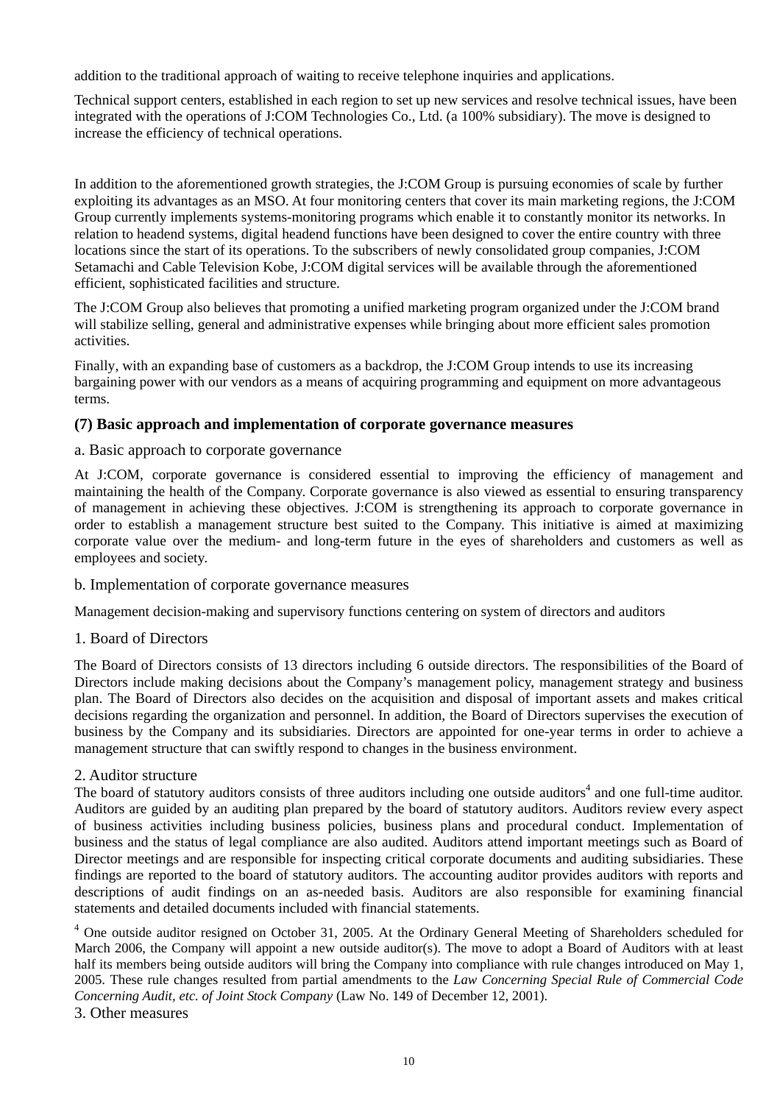addition to the traditional approach of waiting to receive telephone inquiries and applications.

Technical support centers, established in each region to set up new services and resolve technical issues, have been integrated with the operations of J:COM Technologies Co., Ltd. (a 100% subsidiary). The move is designed to increase the efficiency of technical operations.

In addition to the aforementioned growth strategies, the J:COM Group is pursuing economies of scale by further exploiting its advantages as an MSO. At four monitoring centers that cover its main marketing regions, the J:COM Group currently implements systems-monitoring programs which enable it to constantly monitor its networks. In relation to headend systems, digital headend functions have been designed to cover the entire country with three locations since the start of its operations. To the subscribers of newly consolidated group companies, J:COM Setamachi and Cable Television Kobe, J:COM digital services will be available through the aforementioned efficient, sophisticated facilities and structure.

The J:COM Group also believes that promoting a unified marketing program organized under the J:COM brand will stabilize selling, general and administrative expenses while bringing about more efficient sales promotion activities.

Finally, with an expanding base of customers as a backdrop, the J:COM Group intends to use its increasing bargaining power with our vendors as a means of acquiring programming and equipment on more advantageous terms.

#### **(7) Basic approach and implementation of corporate governance measures**

#### a. Basic approach to corporate governance

At J:COM, corporate governance is considered essential to improving the efficiency of management and maintaining the health of the Company. Corporate governance is also viewed as essential to ensuring transparency of management in achieving these objectives. J:COM is strengthening its approach to corporate governance in order to establish a management structure best suited to the Company. This initiative is aimed at maximizing corporate value over the medium- and long-term future in the eyes of shareholders and customers as well as employees and society.

#### b. Implementation of corporate governance measures

Management decision-making and supervisory functions centering on system of directors and auditors

#### 1. Board of Directors

The Board of Directors consists of 13 directors including 6 outside directors. The responsibilities of the Board of Directors include making decisions about the Company's management policy, management strategy and business plan. The Board of Directors also decides on the acquisition and disposal of important assets and makes critical decisions regarding the organization and personnel. In addition, the Board of Directors supervises the execution of business by the Company and its subsidiaries. Directors are appointed for one-year terms in order to achieve a management structure that can swiftly respond to changes in the business environment.

#### 2. Auditor structure

The board of statutory auditors consists of three auditors including one outside auditors<sup>4</sup> and one full-time auditor. Auditors are guided by an auditing plan prepared by the board of statutory auditors. Auditors review every aspect of business activities including business policies, business plans and procedural conduct. Implementation of business and the status of legal compliance are also audited. Auditors attend important meetings such as Board of Director meetings and are responsible for inspecting critical corporate documents and auditing subsidiaries. These findings are reported to the board of statutory auditors. The accounting auditor provides auditors with reports and descriptions of audit findings on an as-needed basis. Auditors are also responsible for examining financial statements and detailed documents included with financial statements.

<sup>4</sup> One outside auditor resigned on October 31, 2005. At the Ordinary General Meeting of Shareholders scheduled for March 2006, the Company will appoint a new outside auditor(s). The move to adopt a Board of Auditors with at least half its members being outside auditors will bring the Company into compliance with rule changes introduced on May 1, 2005. These rule changes resulted from partial amendments to the *Law Concerning Special Rule of Commercial Code Concerning Audit, etc. of Joint Stock Company* (Law No. 149 of December 12, 2001).

#### 3. Other measures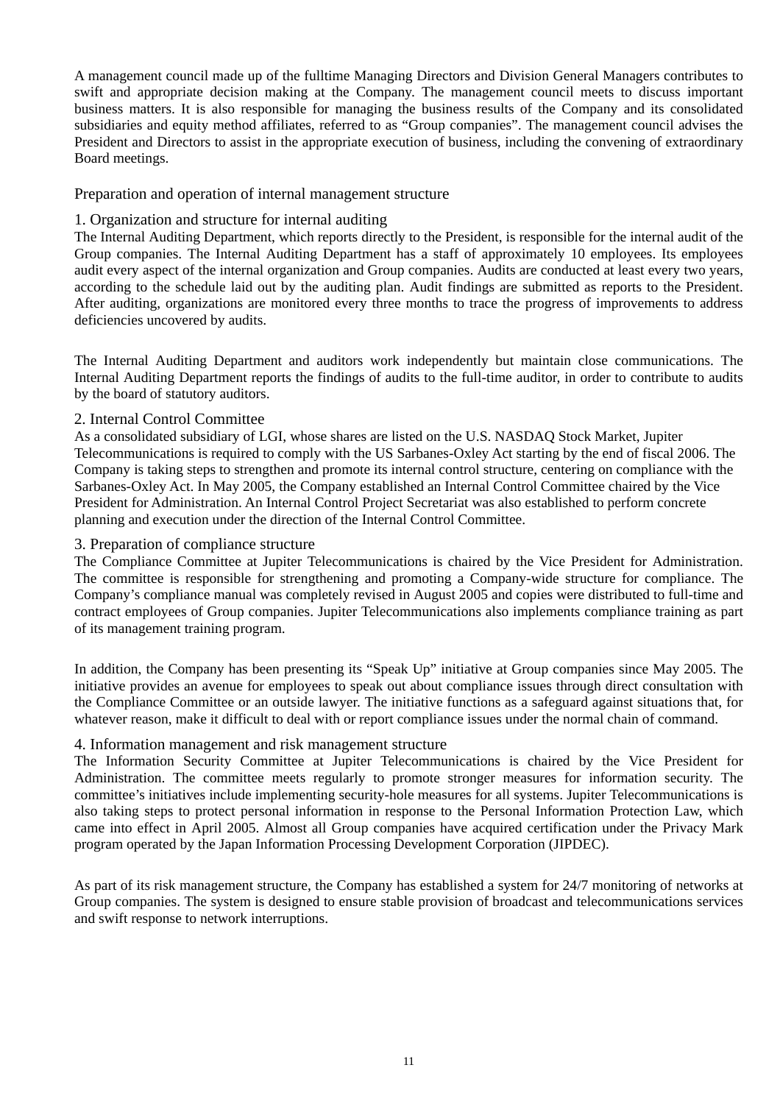A management council made up of the fulltime Managing Directors and Division General Managers contributes to swift and appropriate decision making at the Company. The management council meets to discuss important business matters. It is also responsible for managing the business results of the Company and its consolidated subsidiaries and equity method affiliates, referred to as "Group companies". The management council advises the President and Directors to assist in the appropriate execution of business, including the convening of extraordinary Board meetings.

#### Preparation and operation of internal management structure

#### 1. Organization and structure for internal auditing

The Internal Auditing Department, which reports directly to the President, is responsible for the internal audit of the Group companies. The Internal Auditing Department has a staff of approximately 10 employees. Its employees audit every aspect of the internal organization and Group companies. Audits are conducted at least every two years, according to the schedule laid out by the auditing plan. Audit findings are submitted as reports to the President. After auditing, organizations are monitored every three months to trace the progress of improvements to address deficiencies uncovered by audits.

The Internal Auditing Department and auditors work independently but maintain close communications. The Internal Auditing Department reports the findings of audits to the full-time auditor, in order to contribute to audits by the board of statutory auditors.

#### 2. Internal Control Committee

As a consolidated subsidiary of LGI, whose shares are listed on the U.S. NASDAQ Stock Market, Jupiter Telecommunications is required to comply with the US Sarbanes-Oxley Act starting by the end of fiscal 2006. The Company is taking steps to strengthen and promote its internal control structure, centering on compliance with the Sarbanes-Oxley Act. In May 2005, the Company established an Internal Control Committee chaired by the Vice President for Administration. An Internal Control Project Secretariat was also established to perform concrete planning and execution under the direction of the Internal Control Committee.

#### 3. Preparation of compliance structure

The Compliance Committee at Jupiter Telecommunications is chaired by the Vice President for Administration. The committee is responsible for strengthening and promoting a Company-wide structure for compliance. The Company's compliance manual was completely revised in August 2005 and copies were distributed to full-time and contract employees of Group companies. Jupiter Telecommunications also implements compliance training as part of its management training program.

In addition, the Company has been presenting its "Speak Up" initiative at Group companies since May 2005. The initiative provides an avenue for employees to speak out about compliance issues through direct consultation with the Compliance Committee or an outside lawyer. The initiative functions as a safeguard against situations that, for whatever reason, make it difficult to deal with or report compliance issues under the normal chain of command.

#### 4. Information management and risk management structure

The Information Security Committee at Jupiter Telecommunications is chaired by the Vice President for Administration. The committee meets regularly to promote stronger measures for information security. The committee's initiatives include implementing security-hole measures for all systems. Jupiter Telecommunications is also taking steps to protect personal information in response to the Personal Information Protection Law, which came into effect in April 2005. Almost all Group companies have acquired certification under the Privacy Mark program operated by the Japan Information Processing Development Corporation (JIPDEC).

As part of its risk management structure, the Company has established a system for 24/7 monitoring of networks at Group companies. The system is designed to ensure stable provision of broadcast and telecommunications services and swift response to network interruptions.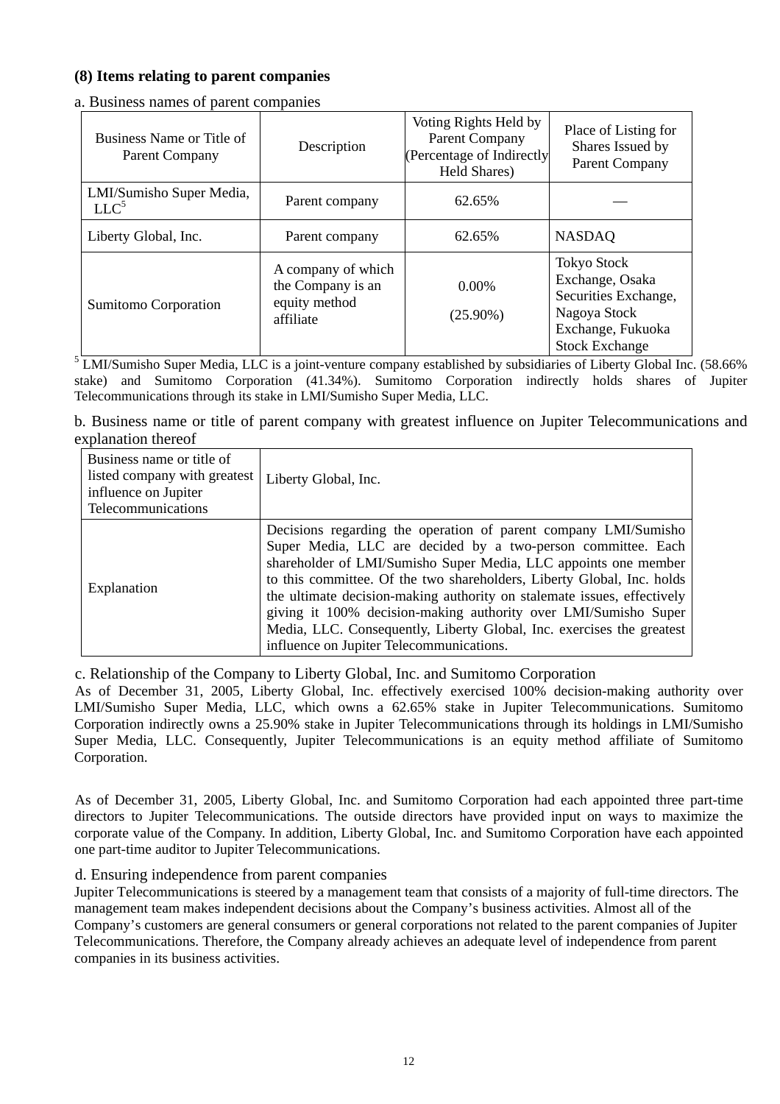### **(8) Items relating to parent companies**

| Business Name or Title of<br>Parent Company  | Description                                                           | Voting Rights Held by<br>Parent Company<br>(Percentage of Indirectly<br>Held Shares) | Place of Listing for<br>Shares Issued by<br><b>Parent Company</b>                                                           |
|----------------------------------------------|-----------------------------------------------------------------------|--------------------------------------------------------------------------------------|-----------------------------------------------------------------------------------------------------------------------------|
| LMI/Sumisho Super Media,<br>LLC <sup>5</sup> | Parent company                                                        | 62.65%                                                                               |                                                                                                                             |
| Liberty Global, Inc.                         | Parent company                                                        | 62.65%                                                                               | <b>NASDAQ</b>                                                                                                               |
| Sumitomo Corporation                         | A company of which<br>the Company is an<br>equity method<br>affiliate | $0.00\%$<br>$(25.90\%)$                                                              | <b>Tokyo Stock</b><br>Exchange, Osaka<br>Securities Exchange,<br>Nagoya Stock<br>Exchange, Fukuoka<br><b>Stock Exchange</b> |

a. Business names of parent companies

<sup>5</sup> LMI/Sumisho Super Media, LLC is a joint-venture company established by subsidiaries of Liberty Global Inc. (58.66% stake) and Sumitomo Corporation (41.34%). Sumitomo Corporation indirectly holds shares of Jupiter Telecommunications through its stake in LMI/Sumisho Super Media, LLC.

b. Business name or title of parent company with greatest influence on Jupiter Telecommunications and explanation thereof

| Business name or title of<br>listed company with greatest<br>influence on Jupiter<br>Telecommunications | Liberty Global, Inc.                                                                                                                                                                                                                                                                                                                                                                                                                                                                                                                            |
|---------------------------------------------------------------------------------------------------------|-------------------------------------------------------------------------------------------------------------------------------------------------------------------------------------------------------------------------------------------------------------------------------------------------------------------------------------------------------------------------------------------------------------------------------------------------------------------------------------------------------------------------------------------------|
| Explanation                                                                                             | Decisions regarding the operation of parent company LMI/Sumisho<br>Super Media, LLC are decided by a two-person committee. Each<br>shareholder of LMI/Sumisho Super Media, LLC appoints one member<br>to this committee. Of the two shareholders, Liberty Global, Inc. holds<br>the ultimate decision-making authority on stalemate issues, effectively<br>giving it 100% decision-making authority over LMI/Sumisho Super<br>Media, LLC. Consequently, Liberty Global, Inc. exercises the greatest<br>influence on Jupiter Telecommunications. |

c. Relationship of the Company to Liberty Global, Inc. and Sumitomo Corporation

As of December 31, 2005, Liberty Global, Inc. effectively exercised 100% decision-making authority over LMI/Sumisho Super Media, LLC, which owns a 62.65% stake in Jupiter Telecommunications. Sumitomo Corporation indirectly owns a 25.90% stake in Jupiter Telecommunications through its holdings in LMI/Sumisho Super Media, LLC. Consequently, Jupiter Telecommunications is an equity method affiliate of Sumitomo Corporation.

As of December 31, 2005, Liberty Global, Inc. and Sumitomo Corporation had each appointed three part-time directors to Jupiter Telecommunications. The outside directors have provided input on ways to maximize the corporate value of the Company. In addition, Liberty Global, Inc. and Sumitomo Corporation have each appointed one part-time auditor to Jupiter Telecommunications.

#### d. Ensuring independence from parent companies

Jupiter Telecommunications is steered by a management team that consists of a majority of full-time directors. The management team makes independent decisions about the Company's business activities. Almost all of the Company's customers are general consumers or general corporations not related to the parent companies of Jupiter Telecommunications. Therefore, the Company already achieves an adequate level of independence from parent companies in its business activities.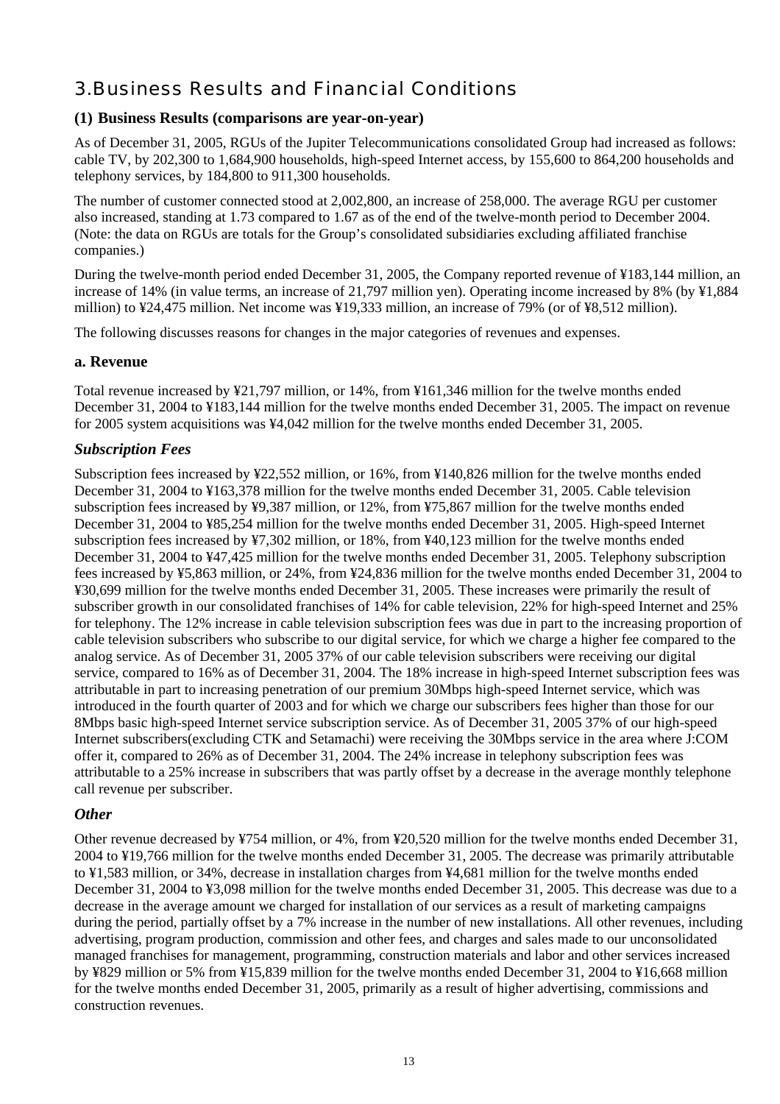# 3.Business Results and Financial Conditions

#### **(1) Business Results (comparisons are year-on-year)**

As of December 31, 2005, RGUs of the Jupiter Telecommunications consolidated Group had increased as follows: cable TV, by 202,300 to 1,684,900 households, high-speed Internet access, by 155,600 to 864,200 households and telephony services, by 184,800 to 911,300 households.

The number of customer connected stood at 2,002,800, an increase of 258,000. The average RGU per customer also increased, standing at 1.73 compared to 1.67 as of the end of the twelve-month period to December 2004. (Note: the data on RGUs are totals for the Group's consolidated subsidiaries excluding affiliated franchise companies.)

During the twelve-month period ended December 31, 2005, the Company reported revenue of ¥183,144 million, an increase of 14% (in value terms, an increase of 21,797 million yen). Operating income increased by 8% (by ¥1,884 million) to ¥24,475 million. Net income was ¥19,333 million, an increase of 79% (or of ¥8,512 million).

The following discusses reasons for changes in the major categories of revenues and expenses.

#### **a. Revenue**

Total revenue increased by ¥21,797 million, or 14%, from ¥161,346 million for the twelve months ended December 31, 2004 to ¥183,144 million for the twelve months ended December 31, 2005. The impact on revenue for 2005 system acquisitions was ¥4,042 million for the twelve months ended December 31, 2005.

### *Subscription Fees*

Subscription fees increased by ¥22,552 million, or 16%, from ¥140,826 million for the twelve months ended December 31, 2004 to ¥163,378 million for the twelve months ended December 31, 2005. Cable television subscription fees increased by ¥9,387 million, or 12%, from ¥75,867 million for the twelve months ended December 31, 2004 to ¥85,254 million for the twelve months ended December 31, 2005. High-speed Internet subscription fees increased by ¥7,302 million, or 18%, from ¥40,123 million for the twelve months ended December 31, 2004 to ¥47,425 million for the twelve months ended December 31, 2005. Telephony subscription fees increased by ¥5,863 million, or 24%, from ¥24,836 million for the twelve months ended December 31, 2004 to ¥30,699 million for the twelve months ended December 31, 2005. These increases were primarily the result of subscriber growth in our consolidated franchises of 14% for cable television, 22% for high-speed Internet and 25% for telephony. The 12% increase in cable television subscription fees was due in part to the increasing proportion of cable television subscribers who subscribe to our digital service, for which we charge a higher fee compared to the analog service. As of December 31, 2005 37% of our cable television subscribers were receiving our digital service, compared to 16% as of December 31, 2004. The 18% increase in high-speed Internet subscription fees was attributable in part to increasing penetration of our premium 30Mbps high-speed Internet service, which was introduced in the fourth quarter of 2003 and for which we charge our subscribers fees higher than those for our 8Mbps basic high-speed Internet service subscription service. As of December 31, 2005 37% of our high-speed Internet subscribers(excluding CTK and Setamachi) were receiving the 30Mbps service in the area where J:COM offer it, compared to 26% as of December 31, 2004. The 24% increase in telephony subscription fees was attributable to a 25% increase in subscribers that was partly offset by a decrease in the average monthly telephone call revenue per subscriber.

## *Other*

Other revenue decreased by ¥754 million, or 4%, from ¥20,520 million for the twelve months ended December 31, 2004 to ¥19,766 million for the twelve months ended December 31, 2005. The decrease was primarily attributable to ¥1,583 million, or 34%, decrease in installation charges from ¥4,681 million for the twelve months ended December 31, 2004 to ¥3,098 million for the twelve months ended December 31, 2005. This decrease was due to a decrease in the average amount we charged for installation of our services as a result of marketing campaigns during the period, partially offset by a 7% increase in the number of new installations. All other revenues, including advertising, program production, commission and other fees, and charges and sales made to our unconsolidated managed franchises for management, programming, construction materials and labor and other services increased by ¥829 million or 5% from ¥15,839 million for the twelve months ended December 31, 2004 to ¥16,668 million for the twelve months ended December 31, 2005, primarily as a result of higher advertising, commissions and construction revenues.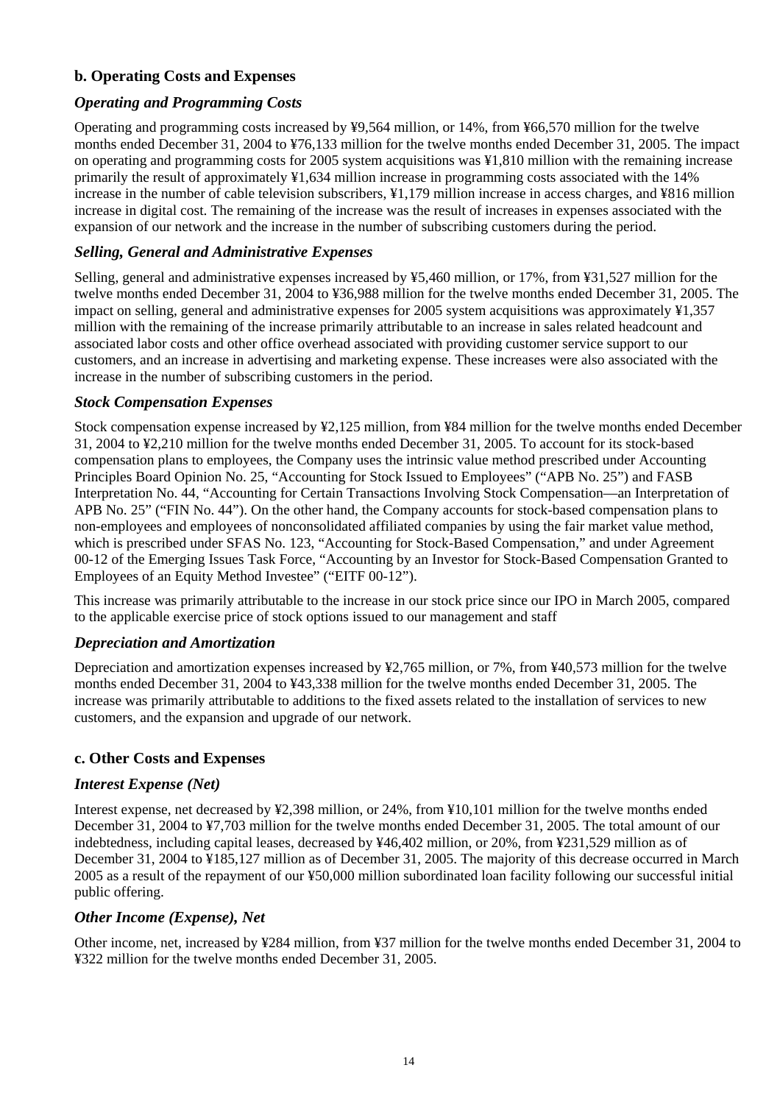# **b. Operating Costs and Expenses**

## *Operating and Programming Costs*

Operating and programming costs increased by ¥9,564 million, or 14%, from ¥66,570 million for the twelve months ended December 31, 2004 to ¥76,133 million for the twelve months ended December 31, 2005. The impact on operating and programming costs for 2005 system acquisitions was ¥1,810 million with the remaining increase primarily the result of approximately ¥1,634 million increase in programming costs associated with the 14% increase in the number of cable television subscribers, ¥1,179 million increase in access charges, and ¥816 million increase in digital cost. The remaining of the increase was the result of increases in expenses associated with the expansion of our network and the increase in the number of subscribing customers during the period.

#### *Selling, General and Administrative Expenses*

Selling, general and administrative expenses increased by ¥5,460 million, or 17%, from ¥31,527 million for the twelve months ended December 31, 2004 to ¥36,988 million for the twelve months ended December 31, 2005. The impact on selling, general and administrative expenses for 2005 system acquisitions was approximately ¥1,357 million with the remaining of the increase primarily attributable to an increase in sales related headcount and associated labor costs and other office overhead associated with providing customer service support to our customers, and an increase in advertising and marketing expense. These increases were also associated with the increase in the number of subscribing customers in the period.

#### *Stock Compensation Expenses*

Stock compensation expense increased by ¥2,125 million, from ¥84 million for the twelve months ended December 31, 2004 to ¥2,210 million for the twelve months ended December 31, 2005. To account for its stock-based compensation plans to employees, the Company uses the intrinsic value method prescribed under Accounting Principles Board Opinion No. 25, "Accounting for Stock Issued to Employees" ("APB No. 25") and FASB Interpretation No. 44, "Accounting for Certain Transactions Involving Stock Compensation—an Interpretation of APB No. 25" ("FIN No. 44"). On the other hand, the Company accounts for stock-based compensation plans to non-employees and employees of nonconsolidated affiliated companies by using the fair market value method, which is prescribed under SFAS No. 123, "Accounting for Stock-Based Compensation," and under Agreement 00-12 of the Emerging Issues Task Force, "Accounting by an Investor for Stock-Based Compensation Granted to Employees of an Equity Method Investee" ("EITF 00-12").

This increase was primarily attributable to the increase in our stock price since our IPO in March 2005, compared to the applicable exercise price of stock options issued to our management and staff

#### *Depreciation and Amortization*

Depreciation and amortization expenses increased by ¥2,765 million, or 7%, from ¥40,573 million for the twelve months ended December 31, 2004 to ¥43,338 million for the twelve months ended December 31, 2005. The increase was primarily attributable to additions to the fixed assets related to the installation of services to new customers, and the expansion and upgrade of our network.

#### **c. Other Costs and Expenses**

#### *Interest Expense (Net)*

Interest expense, net decreased by ¥2,398 million, or 24%, from ¥10,101 million for the twelve months ended December 31, 2004 to ¥7,703 million for the twelve months ended December 31, 2005. The total amount of our indebtedness, including capital leases, decreased by ¥46,402 million, or 20%, from ¥231,529 million as of December 31, 2004 to ¥185,127 million as of December 31, 2005. The majority of this decrease occurred in March 2005 as a result of the repayment of our ¥50,000 million subordinated loan facility following our successful initial public offering.

#### *Other Income (Expense), Net*

Other income, net, increased by ¥284 million, from ¥37 million for the twelve months ended December 31, 2004 to ¥322 million for the twelve months ended December 31, 2005.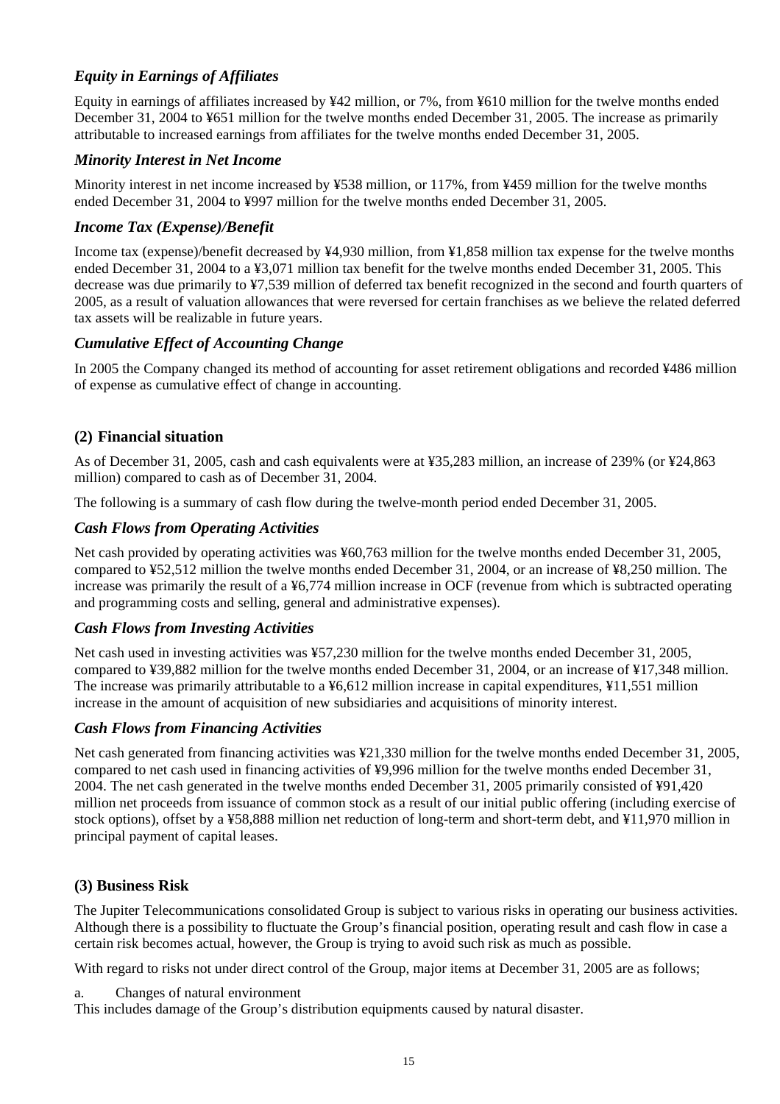# *Equity in Earnings of Affiliates*

Equity in earnings of affiliates increased by ¥42 million, or 7%, from ¥610 million for the twelve months ended December 31, 2004 to ¥651 million for the twelve months ended December 31, 2005. The increase as primarily attributable to increased earnings from affiliates for the twelve months ended December 31, 2005.

## *Minority Interest in Net Income*

Minority interest in net income increased by ¥538 million, or 117%, from ¥459 million for the twelve months ended December 31, 2004 to ¥997 million for the twelve months ended December 31, 2005.

#### *Income Tax (Expense)/Benefit*

Income tax (expense)/benefit decreased by ¥4,930 million, from ¥1,858 million tax expense for the twelve months ended December 31, 2004 to a ¥3,071 million tax benefit for the twelve months ended December 31, 2005. This decrease was due primarily to ¥7,539 million of deferred tax benefit recognized in the second and fourth quarters of 2005, as a result of valuation allowances that were reversed for certain franchises as we believe the related deferred tax assets will be realizable in future years.

### *Cumulative Effect of Accounting Change*

In 2005 the Company changed its method of accounting for asset retirement obligations and recorded ¥486 million of expense as cumulative effect of change in accounting.

### **(2) Financial situation**

As of December 31, 2005, cash and cash equivalents were at ¥35,283 million, an increase of 239% (or ¥24,863 million) compared to cash as of December 31, 2004.

The following is a summary of cash flow during the twelve-month period ended December 31, 2005.

### *Cash Flows from Operating Activities*

Net cash provided by operating activities was ¥60,763 million for the twelve months ended December 31, 2005, compared to ¥52,512 million the twelve months ended December 31, 2004, or an increase of ¥8,250 million. The increase was primarily the result of a ¥6,774 million increase in OCF (revenue from which is subtracted operating and programming costs and selling, general and administrative expenses).

## *Cash Flows from Investing Activities*

Net cash used in investing activities was ¥57,230 million for the twelve months ended December 31, 2005, compared to ¥39,882 million for the twelve months ended December 31, 2004, or an increase of ¥17,348 million. The increase was primarily attributable to a ¥6,612 million increase in capital expenditures, ¥11,551 million increase in the amount of acquisition of new subsidiaries and acquisitions of minority interest.

#### *Cash Flows from Financing Activities*

Net cash generated from financing activities was ¥21,330 million for the twelve months ended December 31, 2005, compared to net cash used in financing activities of ¥9,996 million for the twelve months ended December 31, 2004. The net cash generated in the twelve months ended December 31, 2005 primarily consisted of ¥91,420 million net proceeds from issuance of common stock as a result of our initial public offering (including exercise of stock options), offset by a ¥58,888 million net reduction of long-term and short-term debt, and ¥11,970 million in principal payment of capital leases.

## **(3) Business Risk**

The Jupiter Telecommunications consolidated Group is subject to various risks in operating our business activities. Although there is a possibility to fluctuate the Group's financial position, operating result and cash flow in case a certain risk becomes actual, however, the Group is trying to avoid such risk as much as possible.

With regard to risks not under direct control of the Group, major items at December 31, 2005 are as follows;

a. Changes of natural environment

This includes damage of the Group's distribution equipments caused by natural disaster.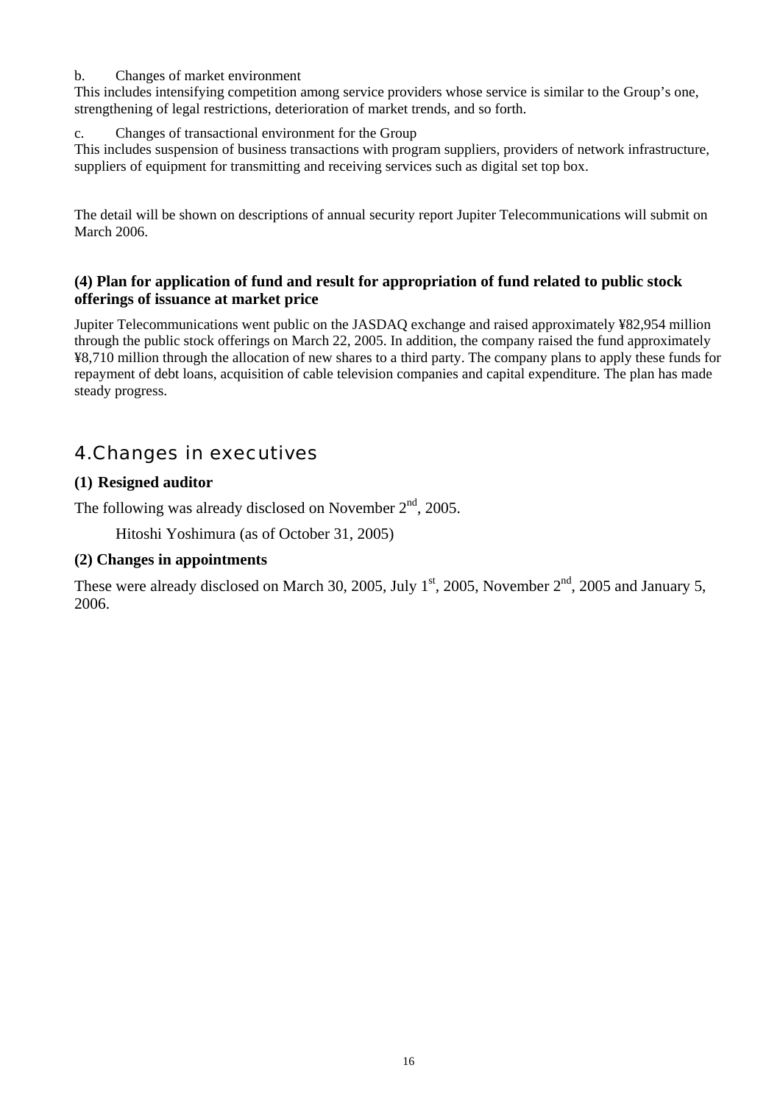#### b. Changes of market environment

This includes intensifying competition among service providers whose service is similar to the Group's one, strengthening of legal restrictions, deterioration of market trends, and so forth.

#### c. Changes of transactional environment for the Group

This includes suspension of business transactions with program suppliers, providers of network infrastructure, suppliers of equipment for transmitting and receiving services such as digital set top box.

The detail will be shown on descriptions of annual security report Jupiter Telecommunications will submit on March 2006.

#### **(4) Plan for application of fund and result for appropriation of fund related to public stock offerings of issuance at market price**

Jupiter Telecommunications went public on the JASDAQ exchange and raised approximately ¥82,954 million through the public stock offerings on March 22, 2005. In addition, the company raised the fund approximately ¥8,710 million through the allocation of new shares to a third party. The company plans to apply these funds for repayment of debt loans, acquisition of cable television companies and capital expenditure. The plan has made steady progress.

# 4.Changes in executives

### **(1) Resigned auditor**

The following was already disclosed on November  $2<sup>nd</sup>$ , 2005.

Hitoshi Yoshimura (as of October 31, 2005)

#### **(2) Changes in appointments**

These were already disclosed on March 30, 2005, July  $1<sup>st</sup>$ , 2005, November  $2<sup>nd</sup>$ , 2005 and January 5, 2006.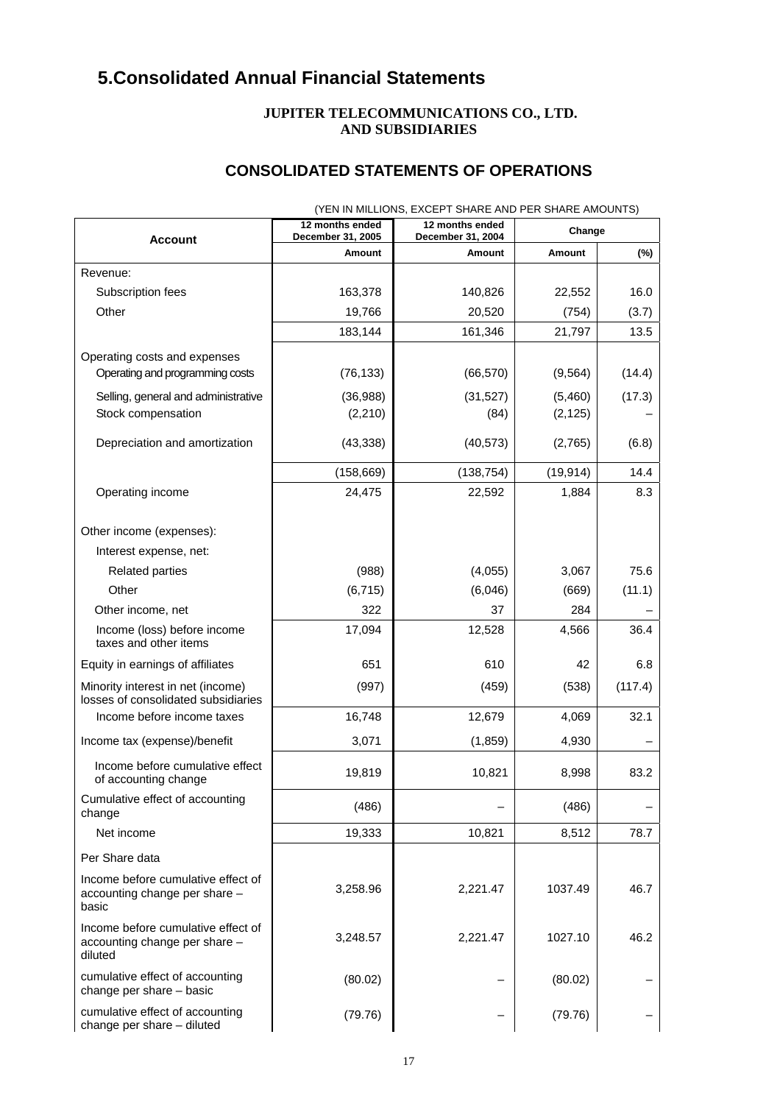# **5.Consolidated Annual Financial Statements**

#### **JUPITER TELECOMMUNICATIONS CO., LTD. AND SUBSIDIARIES**

# **CONSOLIDATED STATEMENTS OF OPERATIONS**

|                                                                                | 12 months ended<br>December 31, 2005 | 12 months ended<br>December 31, 2004 | Change    |         |
|--------------------------------------------------------------------------------|--------------------------------------|--------------------------------------|-----------|---------|
| <b>Account</b>                                                                 | Amount                               | Amount                               | Amount    | (%)     |
| Revenue:                                                                       |                                      |                                      |           |         |
| Subscription fees                                                              | 163,378                              | 140,826                              | 22,552    | 16.0    |
| Other                                                                          | 19,766                               | 20,520                               | (754)     | (3.7)   |
|                                                                                | 183,144                              | 161,346                              | 21,797    | 13.5    |
| Operating costs and expenses<br>Operating and programming costs                | (76, 133)                            | (66, 570)                            | (9, 564)  | (14.4)  |
| Selling, general and administrative                                            | (36,988)                             | (31,527)                             | (5,460)   | (17.3)  |
| Stock compensation                                                             | (2, 210)                             | (84)                                 | (2, 125)  |         |
| Depreciation and amortization                                                  | (43, 338)                            | (40, 573)                            | (2,765)   | (6.8)   |
|                                                                                | (158, 669)                           | (138, 754)                           | (19, 914) | 14.4    |
| Operating income                                                               | 24,475                               | 22,592                               | 1,884     | 8.3     |
| Other income (expenses):<br>Interest expense, net:                             |                                      |                                      |           |         |
| <b>Related parties</b>                                                         | (988)                                | (4,055)                              | 3,067     | 75.6    |
| Other                                                                          | (6, 715)                             | (6,046)                              | (669)     | (11.1)  |
| Other income, net                                                              | 322                                  | 37                                   | 284       |         |
| Income (loss) before income<br>taxes and other items                           | 17,094                               | 12,528                               | 4,566     | 36.4    |
| Equity in earnings of affiliates                                               | 651                                  | 610                                  | 42        | 6.8     |
| Minority interest in net (income)<br>losses of consolidated subsidiaries       | (997)                                | (459)                                | (538)     | (117.4) |
| Income before income taxes                                                     | 16,748                               | 12,679                               | 4,069     | 32.1    |
| Income tax (expense)/benefit                                                   | 3,071                                | (1, 859)                             | 4,930     |         |
| Income before cumulative effect<br>of accounting change                        | 19,819                               | 10,821                               | 8,998     | 83.2    |
| Cumulative effect of accounting<br>change                                      | (486)                                |                                      | (486)     |         |
| Net income                                                                     | 19,333                               | 10,821                               | 8,512     | 78.7    |
| Per Share data                                                                 |                                      |                                      |           |         |
| Income before cumulative effect of<br>accounting change per share -<br>basic   | 3,258.96                             | 2,221.47                             | 1037.49   | 46.7    |
| Income before cumulative effect of<br>accounting change per share -<br>diluted | 3,248.57                             | 2,221.47                             | 1027.10   | 46.2    |
| cumulative effect of accounting<br>change per share - basic                    | (80.02)                              |                                      | (80.02)   |         |
| cumulative effect of accounting<br>change per share - diluted                  | (79.76)                              |                                      | (79.76)   |         |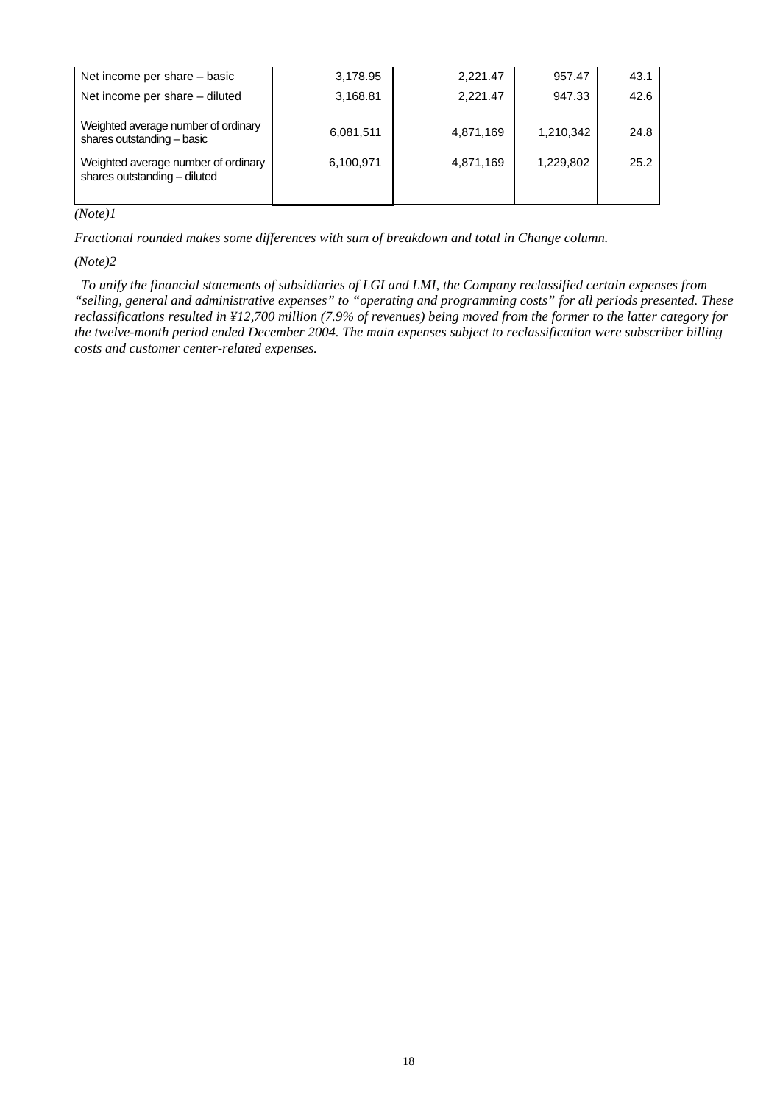| Net income per share - basic                                        | 3,178.95  | 2.221.47  | 957.47    | 43.1 |
|---------------------------------------------------------------------|-----------|-----------|-----------|------|
| Net income per share - diluted                                      | 3,168.81  | 2.221.47  | 947.33    | 42.6 |
| Weighted average number of ordinary<br>shares outstanding - basic   | 6,081,511 | 4,871,169 | 1,210,342 | 24.8 |
| Weighted average number of ordinary<br>shares outstanding - diluted | 6,100,971 | 4,871,169 | 1,229,802 | 25.2 |
|                                                                     |           |           |           |      |

*(Note)1* 

*Fractional rounded makes some differences with sum of breakdown and total in Change column.*

*(Note)2* 

*To unify the financial statements of subsidiaries of LGI and LMI, the Company reclassified certain expenses from "selling, general and administrative expenses" to "operating and programming costs" for all periods presented. These reclassifications resulted in ¥12,700 million (7.9% of revenues) being moved from the former to the latter category for the twelve-month period ended December 2004. The main expenses subject to reclassification were subscriber billing costs and customer center-related expenses.*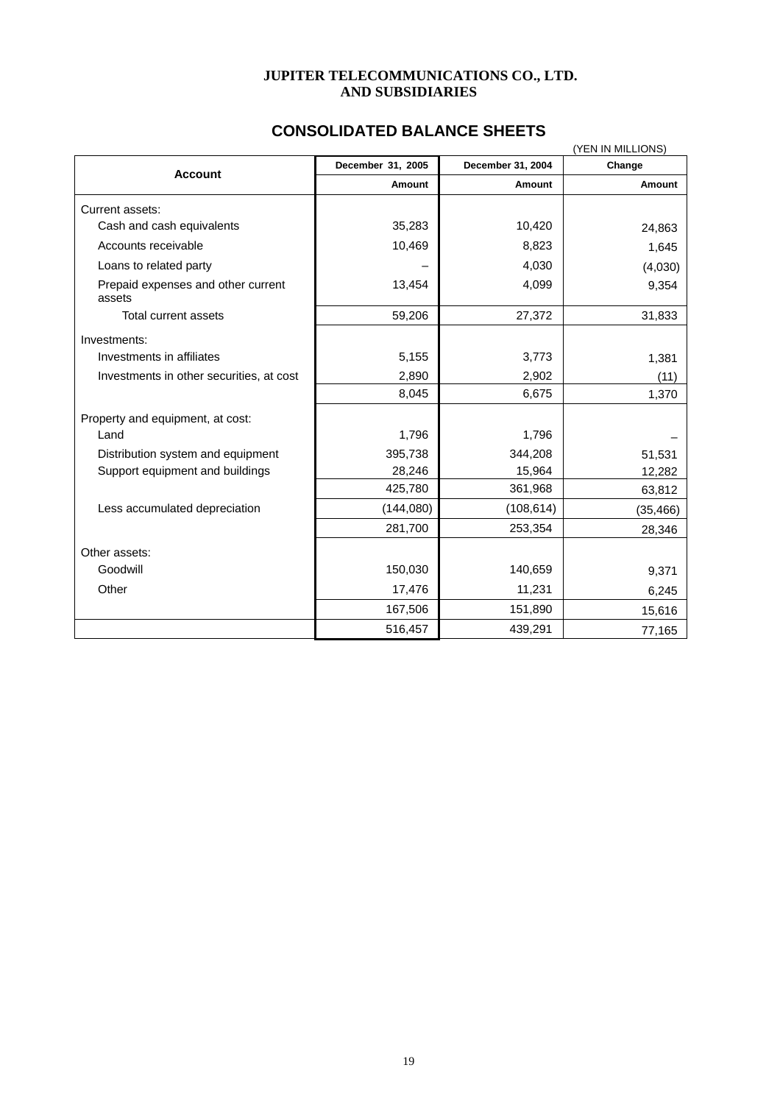#### **JUPITER TELECOMMUNICATIONS CO., LTD. AND SUBSIDIARIES**

# **CONSOLIDATED BALANCE SHEETS**

|                                              | (YEN IN MILLIONS) |                   |           |  |  |
|----------------------------------------------|-------------------|-------------------|-----------|--|--|
| <b>Account</b>                               | December 31, 2005 | December 31, 2004 | Change    |  |  |
|                                              | Amount            | Amount            | Amount    |  |  |
| Current assets:                              |                   |                   |           |  |  |
| Cash and cash equivalents                    | 35,283            | 10,420            | 24,863    |  |  |
| Accounts receivable                          | 10,469            | 8,823             | 1,645     |  |  |
| Loans to related party                       |                   | 4,030             | (4,030)   |  |  |
| Prepaid expenses and other current<br>assets | 13,454            | 4,099             | 9,354     |  |  |
| Total current assets                         | 59,206            | 27,372            | 31,833    |  |  |
| Investments:                                 |                   |                   |           |  |  |
| Investments in affiliates                    | 5,155             | 3,773             | 1,381     |  |  |
| Investments in other securities, at cost     | 2,890             | 2,902             | (11)      |  |  |
|                                              | 8,045             | 6,675             | 1,370     |  |  |
| Property and equipment, at cost:             |                   |                   |           |  |  |
| Land                                         | 1,796             | 1,796             |           |  |  |
| Distribution system and equipment            | 395,738           | 344,208           | 51,531    |  |  |
| Support equipment and buildings              | 28,246            | 15,964            | 12,282    |  |  |
|                                              | 425,780           | 361,968           | 63,812    |  |  |
| Less accumulated depreciation                | (144,080)         | (108, 614)        | (35, 466) |  |  |
|                                              | 281,700           | 253,354           | 28,346    |  |  |
| Other assets:                                |                   |                   |           |  |  |
| Goodwill                                     | 150,030           | 140,659           | 9,371     |  |  |
| Other                                        | 17,476            | 11,231            | 6,245     |  |  |
|                                              | 167,506           | 151,890           | 15,616    |  |  |
|                                              | 516,457           | 439,291           | 77,165    |  |  |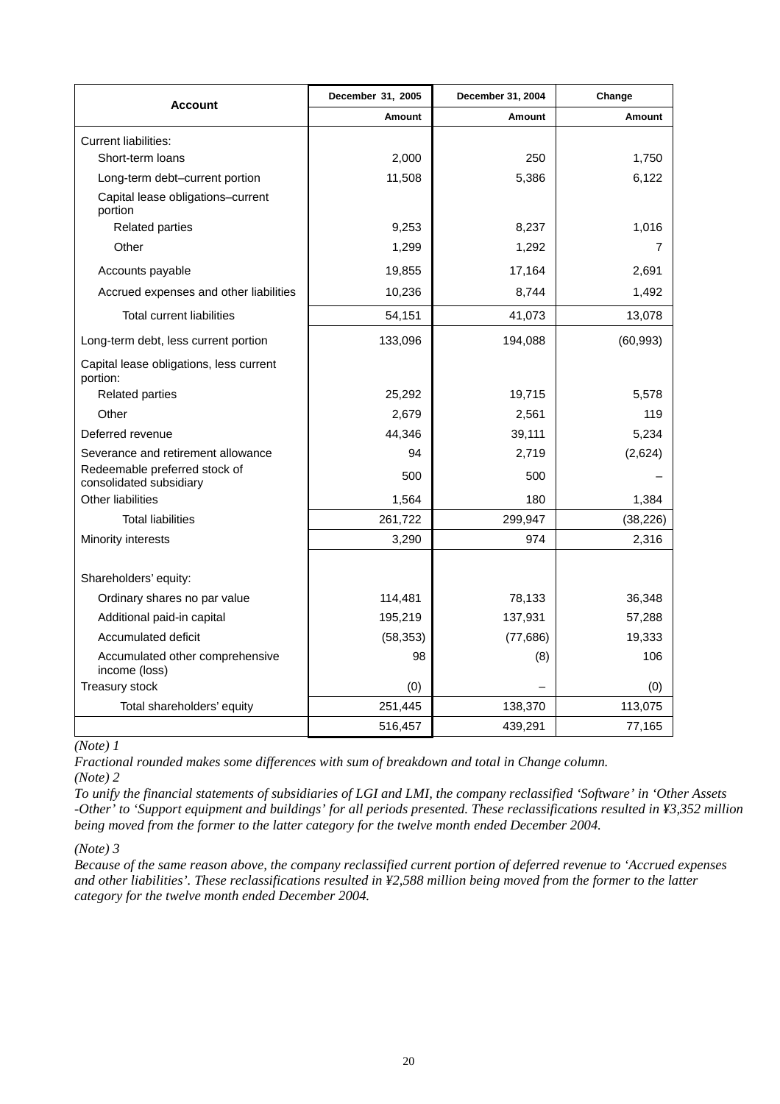| <b>Account</b>                                           | December 31, 2005 | December 31, 2004 | Change        |
|----------------------------------------------------------|-------------------|-------------------|---------------|
|                                                          | Amount            | Amount            | <b>Amount</b> |
| <b>Current liabilities:</b>                              |                   |                   |               |
| Short-term loans                                         | 2,000             | 250               | 1,750         |
| Long-term debt-current portion                           | 11,508            | 5,386             | 6,122         |
| Capital lease obligations-current<br>portion             |                   |                   |               |
| Related parties                                          | 9,253             | 8,237             | 1,016         |
| Other                                                    | 1,299             | 1,292             | 7             |
| Accounts payable                                         | 19,855            | 17,164            | 2,691         |
| Accrued expenses and other liabilities                   | 10,236            | 8,744             | 1,492         |
| <b>Total current liabilities</b>                         | 54,151            | 41,073            | 13,078        |
| Long-term debt, less current portion                     | 133,096           | 194,088           | (60, 993)     |
| Capital lease obligations, less current<br>portion:      |                   |                   |               |
| <b>Related parties</b>                                   | 25,292            | 19,715            | 5,578         |
| Other                                                    | 2,679             | 2,561             | 119           |
| Deferred revenue                                         | 44,346            | 39,111            | 5,234         |
| Severance and retirement allowance                       | 94                | 2,719             | (2,624)       |
| Redeemable preferred stock of<br>consolidated subsidiary | 500               | 500               |               |
| Other liabilities                                        | 1,564             | 180               | 1,384         |
| <b>Total liabilities</b>                                 | 261,722           | 299,947           | (38, 226)     |
| Minority interests                                       | 3,290             | 974               | 2,316         |
| Shareholders' equity:                                    |                   |                   |               |
| Ordinary shares no par value                             | 114,481           | 78,133            | 36,348        |
| Additional paid-in capital                               | 195,219           | 137,931           | 57,288        |
| <b>Accumulated deficit</b>                               | (58, 353)         | (77, 686)         | 19,333        |
| Accumulated other comprehensive<br>income (loss)         | 98                | (8)               | 106           |
| Treasury stock                                           | (0)               |                   | (0)           |
| Total shareholders' equity                               | 251,445           | 138,370           | 113,075       |
|                                                          | 516,457           | 439,291           | 77,165        |

*(Note) 1* 

*Fractional rounded makes some differences with sum of breakdown and total in Change column. (Note) 2* 

*To unify the financial statements of subsidiaries of LGI and LMI, the company reclassified 'Software' in 'Other Assets -Other' to 'Support equipment and buildings' for all periods presented. These reclassifications resulted in ¥3,352 million being moved from the former to the latter category for the twelve month ended December 2004.* 

#### *(Note) 3*

*Because of the same reason above, the company reclassified current portion of deferred revenue to 'Accrued expenses and other liabilities'. These reclassifications resulted in ¥2,588 million being moved from the former to the latter category for the twelve month ended December 2004.*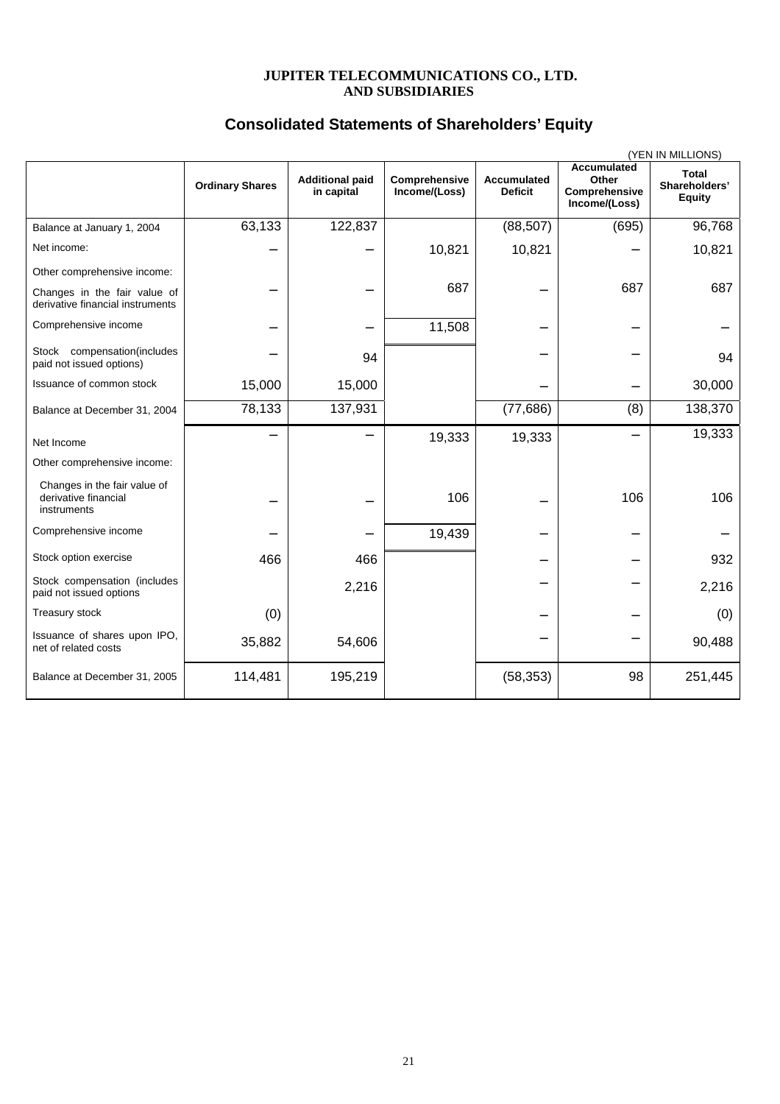#### **JUPITER TELECOMMUNICATIONS CO., LTD. AND SUBSIDIARIES**

## **Consolidated Statements of Shareholders' Equity**

|                                                                     |                        |                                      |                                |                                      |                                                               | (YEN IN MILLIONS)                       |
|---------------------------------------------------------------------|------------------------|--------------------------------------|--------------------------------|--------------------------------------|---------------------------------------------------------------|-----------------------------------------|
|                                                                     | <b>Ordinary Shares</b> | <b>Additional paid</b><br>in capital | Comprehensive<br>Income/(Loss) | <b>Accumulated</b><br><b>Deficit</b> | <b>Accumulated</b><br>Other<br>Comprehensive<br>Income/(Loss) | Total<br>Shareholders'<br><b>Equity</b> |
| Balance at January 1, 2004                                          | 63,133                 | 122,837                              |                                | (88, 507)                            | (695)                                                         | 96,768                                  |
| Net income:                                                         |                        |                                      | 10,821                         | 10,821                               |                                                               | 10,821                                  |
| Other comprehensive income:                                         |                        |                                      |                                |                                      |                                                               |                                         |
| Changes in the fair value of<br>derivative financial instruments    |                        |                                      | 687                            |                                      | 687                                                           | 687                                     |
| Comprehensive income                                                |                        |                                      | 11,508                         |                                      |                                                               |                                         |
| Stock compensation(includes<br>paid not issued options)             |                        | 94                                   |                                |                                      |                                                               | 94                                      |
| Issuance of common stock                                            | 15,000                 | 15,000                               |                                |                                      |                                                               | 30,000                                  |
| Balance at December 31, 2004                                        | 78,133                 | 137,931                              |                                | (77, 686)                            | (8)                                                           | 138,370                                 |
| Net Income                                                          |                        |                                      | 19,333                         | 19,333                               |                                                               | 19,333                                  |
| Other comprehensive income:                                         |                        |                                      |                                |                                      |                                                               |                                         |
| Changes in the fair value of<br>derivative financial<br>instruments |                        |                                      | 106                            |                                      | 106                                                           | 106                                     |
| Comprehensive income                                                |                        |                                      | 19,439                         |                                      |                                                               |                                         |
| Stock option exercise                                               | 466                    | 466                                  |                                |                                      |                                                               | 932                                     |
| Stock compensation (includes<br>paid not issued options             |                        | 2,216                                |                                |                                      |                                                               | 2,216                                   |
| Treasury stock                                                      | (0)                    |                                      |                                |                                      |                                                               | (0)                                     |
| Issuance of shares upon IPO,<br>net of related costs                | 35,882                 | 54,606                               |                                |                                      |                                                               | 90,488                                  |
| Balance at December 31, 2005                                        | 114,481                | 195,219                              |                                | (58, 353)                            | 98                                                            | 251,445                                 |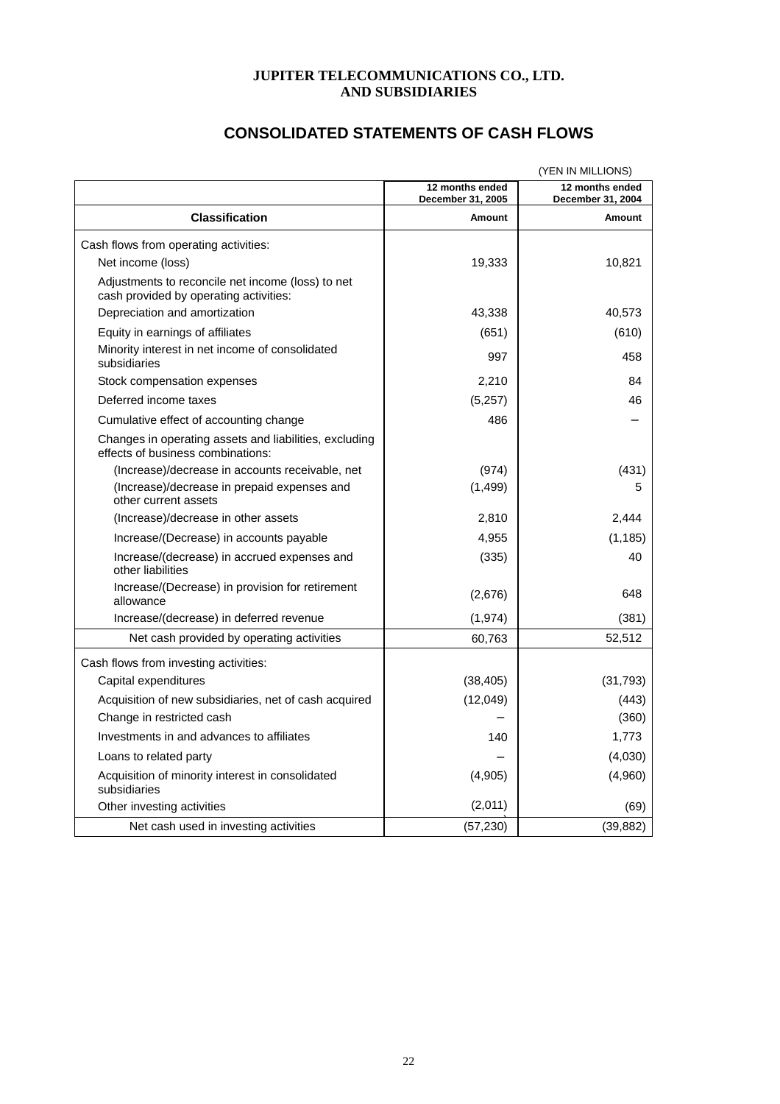#### **JUPITER TELECOMMUNICATIONS CO., LTD. AND SUBSIDIARIES**

| <b>CONSOLIDATED STATEMENTS OF CASH FLOWS</b> |  |
|----------------------------------------------|--|
|----------------------------------------------|--|

|                                                                                             |                                      | (YEN IN MILLIONS)                    |
|---------------------------------------------------------------------------------------------|--------------------------------------|--------------------------------------|
|                                                                                             | 12 months ended<br>December 31, 2005 | 12 months ended<br>December 31, 2004 |
| <b>Classification</b>                                                                       | Amount                               | Amount                               |
| Cash flows from operating activities:                                                       |                                      |                                      |
| Net income (loss)                                                                           | 19,333                               | 10,821                               |
| Adjustments to reconcile net income (loss) to net<br>cash provided by operating activities: |                                      |                                      |
| Depreciation and amortization                                                               | 43,338                               | 40,573                               |
| Equity in earnings of affiliates                                                            | (651)                                | (610)                                |
| Minority interest in net income of consolidated<br>subsidiaries                             | 997                                  | 458                                  |
| Stock compensation expenses                                                                 | 2.210                                | 84                                   |
| Deferred income taxes                                                                       | (5,257)                              | 46                                   |
| Cumulative effect of accounting change                                                      | 486                                  |                                      |
| Changes in operating assets and liabilities, excluding<br>effects of business combinations: |                                      |                                      |
| (Increase)/decrease in accounts receivable, net                                             | (974)                                | (431)                                |
| (Increase)/decrease in prepaid expenses and<br>other current assets                         | (1, 499)                             | 5                                    |
| (Increase)/decrease in other assets                                                         | 2,810                                | 2,444                                |
| Increase/(Decrease) in accounts payable                                                     | 4,955                                | (1, 185)                             |
| Increase/(decrease) in accrued expenses and<br>other liabilities                            | (335)                                | 40                                   |
| Increase/(Decrease) in provision for retirement<br>allowance                                | (2,676)                              | 648                                  |
| Increase/(decrease) in deferred revenue                                                     | (1, 974)                             | (381)                                |
| Net cash provided by operating activities                                                   | 60,763                               | 52,512                               |
| Cash flows from investing activities:                                                       |                                      |                                      |
| Capital expenditures                                                                        | (38, 405)                            | (31, 793)                            |
| Acquisition of new subsidiaries, net of cash acquired                                       | (12,049)                             | (443)                                |
| Change in restricted cash                                                                   |                                      | (360)                                |
| Investments in and advances to affiliates                                                   | 140                                  | 1,773                                |
| Loans to related party                                                                      |                                      | (4,030)                              |
| Acquisition of minority interest in consolidated<br>subsidiaries                            | (4,905)                              | (4,960)                              |
| Other investing activities                                                                  | (2,011)                              | (69)                                 |
| Net cash used in investing activities                                                       | (57, 230)                            | (39, 882)                            |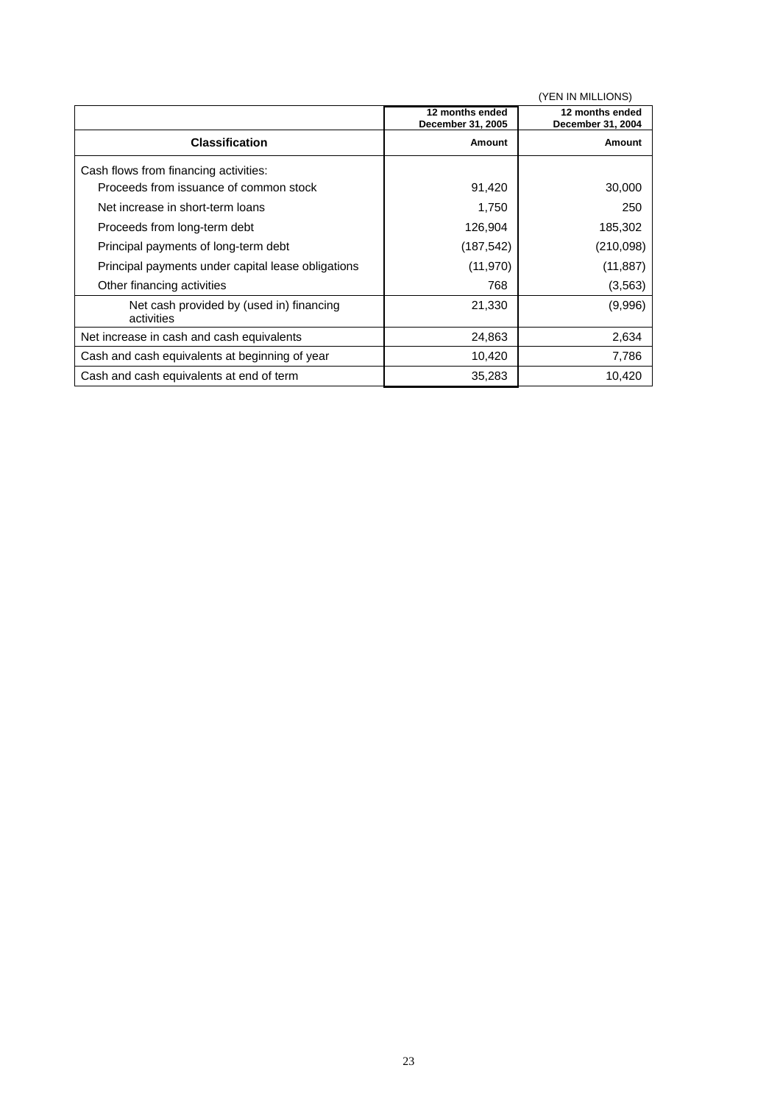|                                                        |                                      | (YEN IN MILLIONS)                    |
|--------------------------------------------------------|--------------------------------------|--------------------------------------|
|                                                        | 12 months ended<br>December 31, 2005 | 12 months ended<br>December 31, 2004 |
| <b>Classification</b>                                  | Amount                               | Amount                               |
| Cash flows from financing activities:                  |                                      |                                      |
| Proceeds from issuance of common stock                 | 91,420                               | 30,000                               |
| Net increase in short-term loans                       | 1,750                                | 250                                  |
| Proceeds from long-term debt                           | 126,904                              | 185,302                              |
| Principal payments of long-term debt                   | (187, 542)                           | (210,098)                            |
| Principal payments under capital lease obligations     | (11, 970)                            | (11, 887)                            |
| Other financing activities                             | 768                                  | (3, 563)                             |
| Net cash provided by (used in) financing<br>activities | 21,330                               | (9,996)                              |
| Net increase in cash and cash equivalents              | 24,863                               | 2,634                                |
| Cash and cash equivalents at beginning of year         | 10,420                               | 7,786                                |
| Cash and cash equivalents at end of term               | 35,283                               | 10,420                               |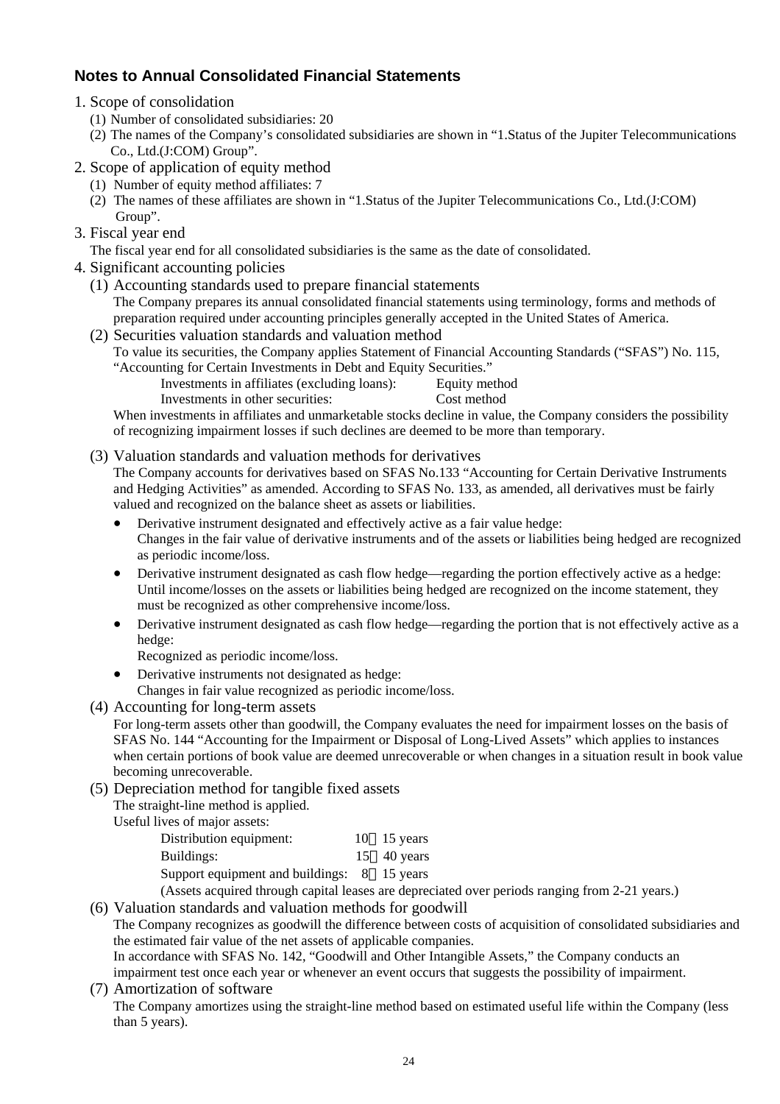# **Notes to Annual Consolidated Financial Statements**

- 1. Scope of consolidation
	- (1) Number of consolidated subsidiaries: 20
	- (2) The names of the Company's consolidated subsidiaries are shown in "1.Status of the Jupiter Telecommunications Co., Ltd.(J:COM) Group".
- 2. Scope of application of equity method
	- (1) Number of equity method affiliates: 7
	- (2) The names of these affiliates are shown in "1.Status of the Jupiter Telecommunications Co., Ltd.(J:COM) Group".
- 3. Fiscal year end

The fiscal year end for all consolidated subsidiaries is the same as the date of consolidated.

- 4. Significant accounting policies
	- (1) Accounting standards used to prepare financial statements The Company prepares its annual consolidated financial statements using terminology, forms and methods of preparation required under accounting principles generally accepted in the United States of America.
	- (2) Securities valuation standards and valuation method To value its securities, the Company applies Statement of Financial Accounting Standards ("SFAS") No. 115, "Accounting for Certain Investments in Debt and Equity Securities."
		- Investments in affiliates (excluding loans): Equity method
			- Investments in other securities: Cost method

When investments in affiliates and unmarketable stocks decline in value, the Company considers the possibility of recognizing impairment losses if such declines are deemed to be more than temporary.

(3) Valuation standards and valuation methods for derivatives

The Company accounts for derivatives based on SFAS No.133 "Accounting for Certain Derivative Instruments and Hedging Activities" as amended. According to SFAS No. 133, as amended, all derivatives must be fairly valued and recognized on the balance sheet as assets or liabilities.

- Derivative instrument designated and effectively active as a fair value hedge: Changes in the fair value of derivative instruments and of the assets or liabilities being hedged are recognized as periodic income/loss.
- Derivative instrument designated as cash flow hedge—regarding the portion effectively active as a hedge: Until income/losses on the assets or liabilities being hedged are recognized on the income statement, they must be recognized as other comprehensive income/loss.
- Derivative instrument designated as cash flow hedge—regarding the portion that is not effectively active as a hedge:
	- Recognized as periodic income/loss.
- Derivative instruments not designated as hedge: Changes in fair value recognized as periodic income/loss.
- (4) Accounting for long-term assets

For long-term assets other than goodwill, the Company evaluates the need for impairment losses on the basis of SFAS No. 144 "Accounting for the Impairment or Disposal of Long-Lived Assets" which applies to instances when certain portions of book value are deemed unrecoverable or when changes in a situation result in book value becoming unrecoverable.

(5) Depreciation method for tangible fixed assets

The straight-line method is applied.

Useful lives of major assets:

| Distribution equipment:                     | $10$ 15 years               |
|---------------------------------------------|-----------------------------|
| Buildings:                                  | $15 \quad 40 \text{ years}$ |
| Support equipment and buildings: 8 15 years |                             |

(Assets acquired through capital leases are depreciated over periods ranging from 2-21 years.)

(6) Valuation standards and valuation methods for goodwill

The Company recognizes as goodwill the difference between costs of acquisition of consolidated subsidiaries and the estimated fair value of the net assets of applicable companies.

In accordance with SFAS No. 142, "Goodwill and Other Intangible Assets," the Company conducts an

impairment test once each year or whenever an event occurs that suggests the possibility of impairment.

(7) Amortization of software The Company amortizes using the straight-line method based on estimated useful life within the Company (less than 5 years).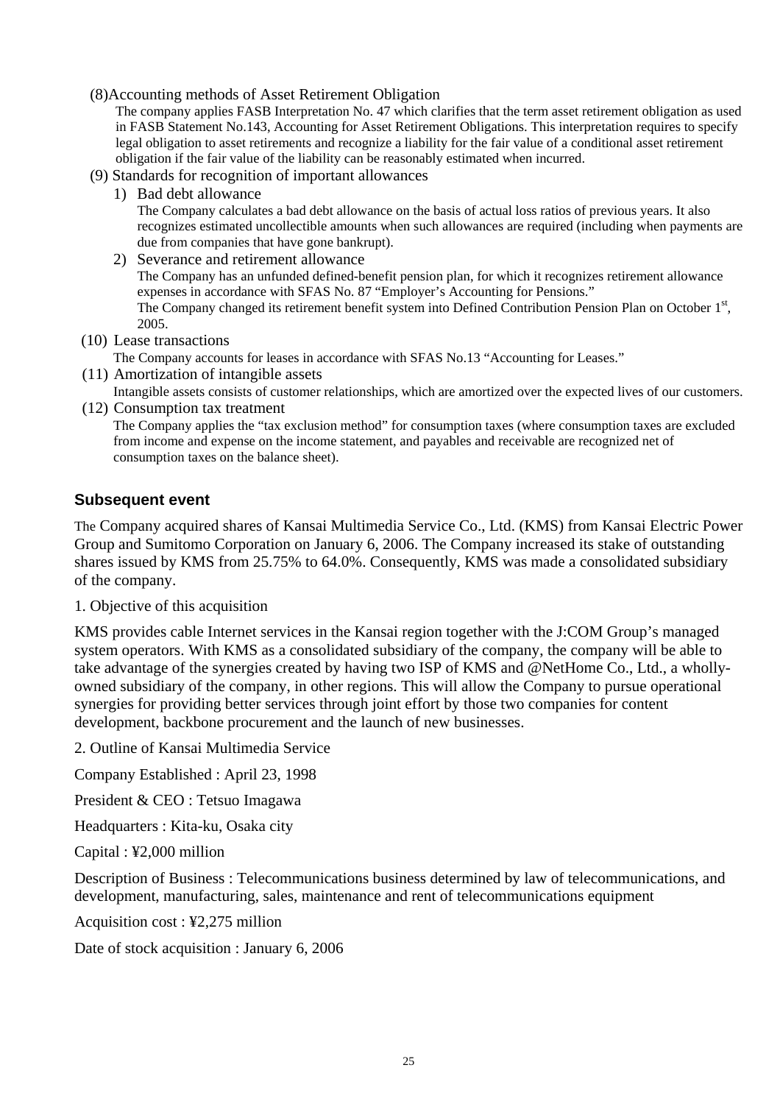#### (8)Accounting methods of Asset Retirement Obligation

The company applies FASB Interpretation No. 47 which clarifies that the term asset retirement obligation as used in FASB Statement No.143, Accounting for Asset Retirement Obligations. This interpretation requires to specify legal obligation to asset retirements and recognize a liability for the fair value of a conditional asset retirement obligation if the fair value of the liability can be reasonably estimated when incurred.

- (9) Standards for recognition of important allowances
	- 1) Bad debt allowance

The Company calculates a bad debt allowance on the basis of actual loss ratios of previous years. It also recognizes estimated uncollectible amounts when such allowances are required (including when payments are due from companies that have gone bankrupt).

2) Severance and retirement allowance

The Company has an unfunded defined-benefit pension plan, for which it recognizes retirement allowance expenses in accordance with SFAS No. 87 "Employer's Accounting for Pensions." The Company changed its retirement benefit system into Defined Contribution Pension Plan on October 1<sup>st</sup>, 2005.

(10) Lease transactions

The Company accounts for leases in accordance with SFAS No.13 "Accounting for Leases."

(11) Amortization of intangible assets

Intangible assets consists of customer relationships, which are amortized over the expected lives of our customers. (12) Consumption tax treatment

The Company applies the "tax exclusion method" for consumption taxes (where consumption taxes are excluded from income and expense on the income statement, and payables and receivable are recognized net of consumption taxes on the balance sheet).

## **Subsequent event**

The Company acquired shares of Kansai Multimedia Service Co., Ltd. (KMS) from Kansai Electric Power Group and Sumitomo Corporation on January 6, 2006. The Company increased its stake of outstanding shares issued by KMS from 25.75% to 64.0%. Consequently, KMS was made a consolidated subsidiary of the company.

1. Objective of this acquisition

KMS provides cable Internet services in the Kansai region together with the J:COM Group's managed system operators. With KMS as a consolidated subsidiary of the company, the company will be able to take advantage of the synergies created by having two ISP of KMS and @NetHome Co., Ltd., a whollyowned subsidiary of the company, in other regions. This will allow the Company to pursue operational synergies for providing better services through joint effort by those two companies for content development, backbone procurement and the launch of new businesses.

2. Outline of Kansai Multimedia Service

Company Established : April 23, 1998

President & CEO : Tetsuo Imagawa

Headquarters : Kita-ku, Osaka city

Capital : ¥2,000 million

Description of Business : Telecommunications business determined by law of telecommunications, and development, manufacturing, sales, maintenance and rent of telecommunications equipment

Acquisition cost : ¥2,275 million

Date of stock acquisition : January 6, 2006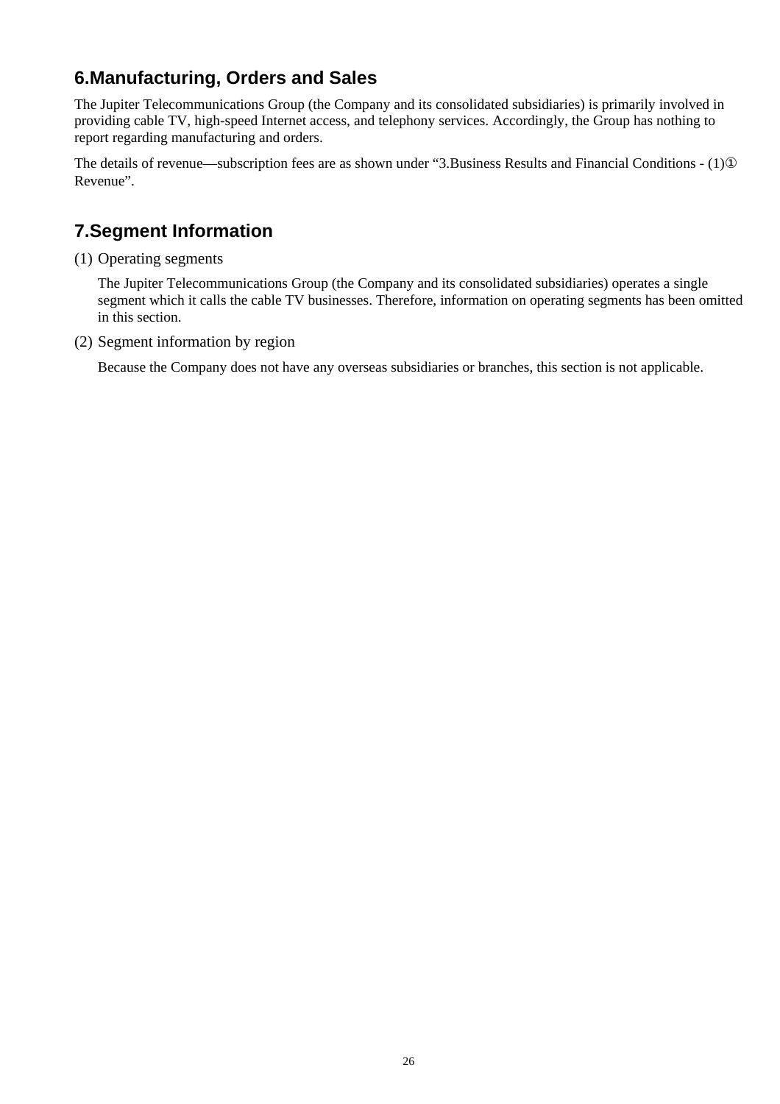# **6.Manufacturing, Orders and Sales**

The Jupiter Telecommunications Group (the Company and its consolidated subsidiaries) is primarily involved in providing cable TV, high-speed Internet access, and telephony services. Accordingly, the Group has nothing to report regarding manufacturing and orders.

The details of revenue—subscription fees are as shown under "3.Business Results and Financial Conditions - (1) Revenue".

# **7.Segment Information**

(1) Operating segments

The Jupiter Telecommunications Group (the Company and its consolidated subsidiaries) operates a single segment which it calls the cable TV businesses. Therefore, information on operating segments has been omitted in this section.

(2) Segment information by region

Because the Company does not have any overseas subsidiaries or branches, this section is not applicable.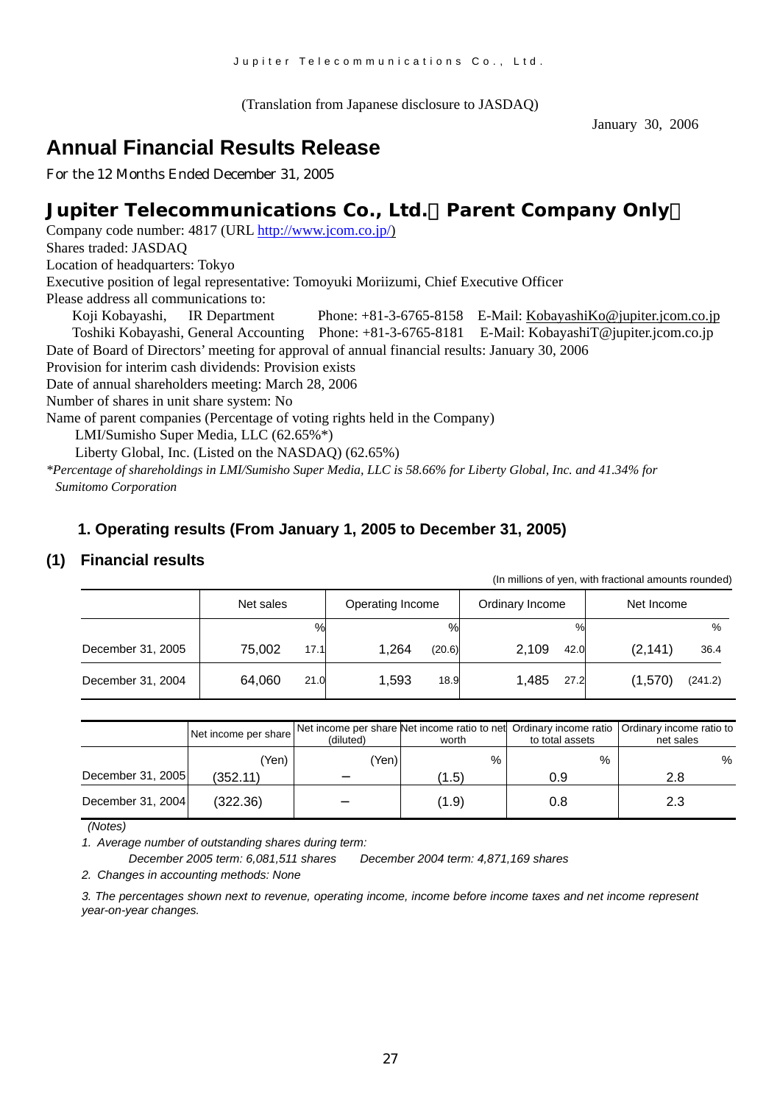(Translation from Japanese disclosure to JASDAQ)

January 30, 2006

# **Annual Financial Results Release**

For the 12 Months Ended December 31, 2005

# **Jupiter Telecommunications Co., Ltd.**(**Parent Company Only**)

Company code number: 4817 (URL [http://www.jcom.co.jp/](http://www.jcomxxxxxxxxx.co.jp/)) Shares traded: JASDAQ Location of headquarters: Tokyo Executive position of legal representative: Tomoyuki Moriizumi, Chief Executive Officer Please address all communications to: Koji Kobayashi, IR Department Phone: +81-3-6765-8158 E-Mail: [KobayashiKo@jupiter.jcom.co.jp](mailto:KobayashiKo@jupiter.jcom.co.jp) Toshiki Kobayashi, General Accounting Phone: +81-3-6765-8181 E-Mail: KobayashiT@jupiter.jcom.co.jp Date of Board of Directors' meeting for approval of annual financial results: January 30, 2006

Provision for interim cash dividends: Provision exists

Date of annual shareholders meeting: March 28, 2006

Number of shares in unit share system: No

Name of parent companies (Percentage of voting rights held in the Company)

LMI/Sumisho Super Media, LLC (62.65%\*)

Liberty Global, Inc. (Listed on the NASDAQ) (62.65%)

*\*Percentage of shareholdings in LMI/Sumisho Super Media, LLC is 58.66% for Liberty Global, Inc. and 41.34% for Sumitomo Corporation*

# **1. Operating results (From January 1, 2005 to December 31, 2005)**

## **(1) Financial results**

|                   |                |                  |                 | (In millions of yen, with fractional amounts rounded) |
|-------------------|----------------|------------------|-----------------|-------------------------------------------------------|
|                   | Net sales      | Operating Income | Ordinary Income | Net Income                                            |
|                   | $\%$           | %                | $\%$            | $\%$                                                  |
| December 31, 2005 | 75.002<br>17.1 | 1.264<br>(20.6)  | 2.109<br>42.0   | (2, 141)<br>36.4                                      |
| December 31, 2004 | 64.060<br>21.0 | 1.593<br>18.9    | 1.485<br>27.2   | (1,570)<br>(241.2)                                    |

|                   | Net income per share | (diluted) | worth | to total assets | Net income per share Net income ratio to net Ordinary income ratio   Ordinary income ratio to<br>net sales |
|-------------------|----------------------|-----------|-------|-----------------|------------------------------------------------------------------------------------------------------------|
|                   | Yen)                 | (Yen)     | $\%$  | %               | %                                                                                                          |
| December 31, 2005 | (352.11)             |           | (1.5) | 0.9             | 2.8                                                                                                        |
| December 31, 2004 | (322.36)             |           | (1.9) | 0.8             | 2.3                                                                                                        |

 *(Notes)* 

*1. Average number of outstanding shares during term:* 

*December 2005 term: 6,081,511 shares December 2004 term: 4,871,169 shares* 

*2. Changes in accounting methods: None*

*3. The percentages shown next to revenue, operating income, income before income taxes and net income represent year-on-year changes.*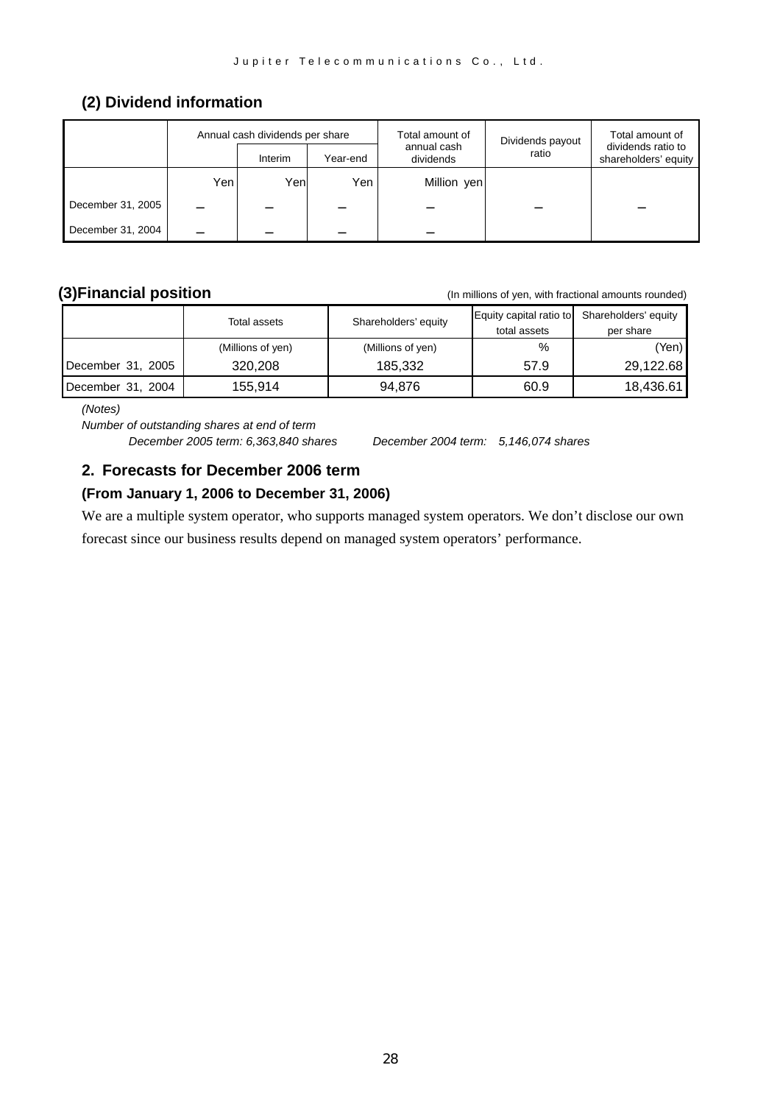# **(2) Dividend information**

|                   |     | Annual cash dividends per share |          | Total amount of          | Dividends payout | Total amount of                            |
|-------------------|-----|---------------------------------|----------|--------------------------|------------------|--------------------------------------------|
|                   |     | Interim                         | Year-end | annual cash<br>dividends | ratio            | dividends ratio to<br>shareholders' equity |
|                   | Yen | Yenl                            | Yen      | Million yen              |                  |                                            |
| December 31, 2005 |     |                                 |          |                          |                  |                                            |
| December 31, 2004 |     |                                 |          |                          |                  |                                            |

**(3)Financial position** (In millions of yen, with fractional amounts rounded)

|                   | Total assets      | Shareholders' equity | Equity capital ratio to | Shareholders' equity |
|-------------------|-------------------|----------------------|-------------------------|----------------------|
|                   |                   |                      | total assets            | per share            |
|                   | (Millions of yen) | (Millions of yen)    | %                       | (Yen) l              |
| December 31, 2005 | 320,208           | 185.332              | 57.9                    | 29,122.68            |
| December 31, 2004 | 155.914           | 94.876               | 60.9                    | 18,436.61            |

*(Notes)* 

*Number of outstanding shares at end of term December 2005 term: 6,363,840 shares December 2004 term: 5,146,074 shares* 

# **2. Forecasts for December 2006 term**

### **(From January 1, 2006 to December 31, 2006)**

We are a multiple system operator, who supports managed system operators. We don't disclose our own forecast since our business results depend on managed system operators' performance.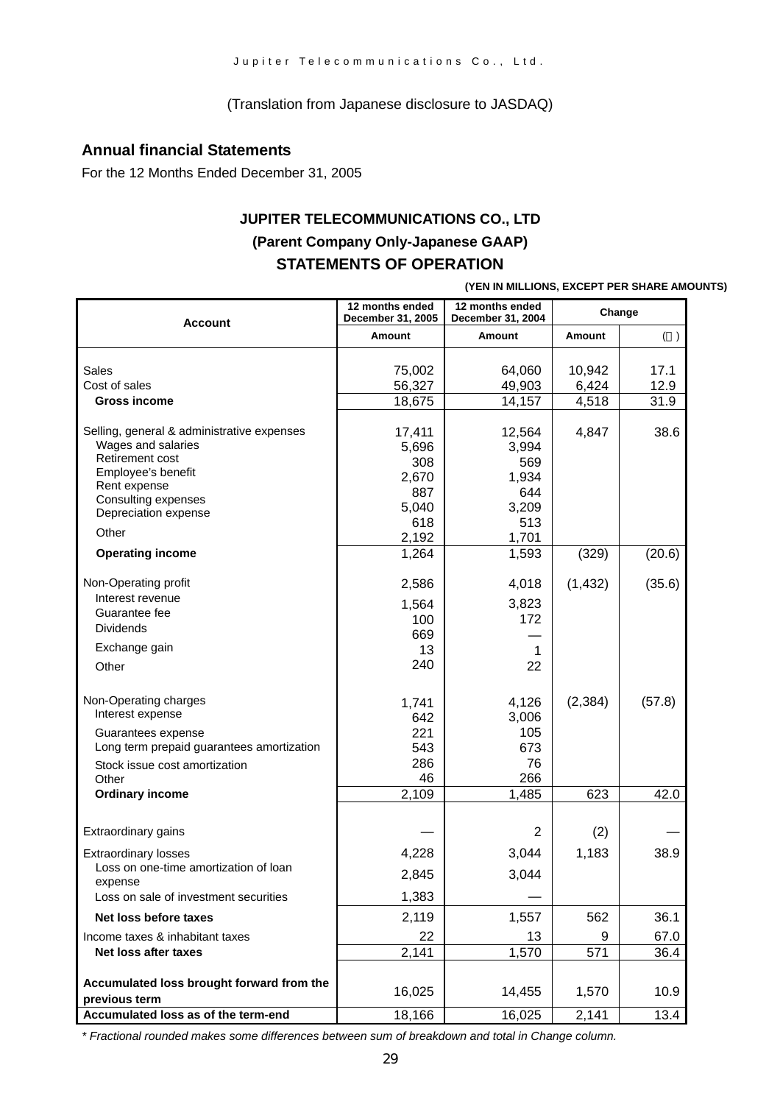(Translation from Japanese disclosure to JASDAQ)

### **Annual financial Statements**

For the 12 Months Ended December 31, 2005

# **JUPITER TELECOMMUNICATIONS CO., LTD (Parent Company Only-Japanese GAAP) STATEMENTS OF OPERATION**

**(YEN IN MILLIONS, EXCEPT PER SHARE AMOUNTS)**

| Account                                                                                                                                                                  | 12 months ended<br>December 31, 2005                   | 12 months ended<br>December 31, 2004                   | Change          |              |
|--------------------------------------------------------------------------------------------------------------------------------------------------------------------------|--------------------------------------------------------|--------------------------------------------------------|-----------------|--------------|
|                                                                                                                                                                          | <b>Amount</b>                                          | Amount                                                 | <b>Amount</b>   | $($ )        |
| Sales<br>Cost of sales                                                                                                                                                   | 75,002<br>56,327                                       | 64,060<br>49,903                                       | 10,942<br>6,424 | 17.1<br>12.9 |
| <b>Gross income</b>                                                                                                                                                      | 18,675                                                 | 14,157                                                 | 4,518           | 31.9         |
| Selling, general & administrative expenses<br>Wages and salaries<br>Retirement cost<br>Employee's benefit<br>Rent expense<br>Consulting expenses<br>Depreciation expense | 17,411<br>5,696<br>308<br>2,670<br>887<br>5,040<br>618 | 12,564<br>3,994<br>569<br>1,934<br>644<br>3,209<br>513 | 4,847           | 38.6         |
| Other                                                                                                                                                                    | 2,192                                                  | 1,701                                                  |                 |              |
| <b>Operating income</b>                                                                                                                                                  | 1,264                                                  | 1,593                                                  | (329)           | (20.6)       |
| Non-Operating profit<br>Interest revenue                                                                                                                                 | 2,586                                                  | 4,018                                                  | (1, 432)        | (35.6)       |
| Guarantee fee<br><b>Dividends</b>                                                                                                                                        | 1,564<br>100<br>669                                    | 3,823<br>172                                           |                 |              |
| Exchange gain                                                                                                                                                            | 13                                                     | 1                                                      |                 |              |
| Other                                                                                                                                                                    | 240                                                    | 22                                                     |                 |              |
| Non-Operating charges<br>Interest expense<br>Guarantees expense<br>Long term prepaid guarantees amortization                                                             | 1,741<br>642<br>221<br>543                             | 4,126<br>3,006<br>105<br>673                           | (2, 384)        | (57.8)       |
| Stock issue cost amortization<br>Other                                                                                                                                   | 286<br>46                                              | 76<br>266                                              |                 |              |
| <b>Ordinary income</b>                                                                                                                                                   | 2,109                                                  | 1,485                                                  | 623             | 42.0         |
| Extraordinary gains                                                                                                                                                      |                                                        | $\overline{2}$                                         | (2)             |              |
| <b>Extraordinary losses</b>                                                                                                                                              | 4,228                                                  | 3,044                                                  | 1,183           | 38.9         |
| Loss on one-time amortization of loan<br>expense                                                                                                                         | 2,845                                                  | 3,044                                                  |                 |              |
| Loss on sale of investment securities                                                                                                                                    | 1,383                                                  |                                                        |                 |              |
| Net loss before taxes                                                                                                                                                    | 2,119                                                  | 1,557                                                  | 562             | 36.1         |
| Income taxes & inhabitant taxes                                                                                                                                          | 22                                                     | 13                                                     | 9               | 67.0         |
| Net loss after taxes                                                                                                                                                     | 2,141                                                  | 1,570                                                  | 571             | 36.4         |
| Accumulated loss brought forward from the<br>previous term                                                                                                               | 16,025                                                 | 14,455                                                 | 1,570           | 10.9         |
| Accumulated loss as of the term-end                                                                                                                                      | 18,166                                                 | 16,025                                                 | 2,141           | 13.4         |

*\* Fractional rounded makes some differences between sum of breakdown and total in Change column.*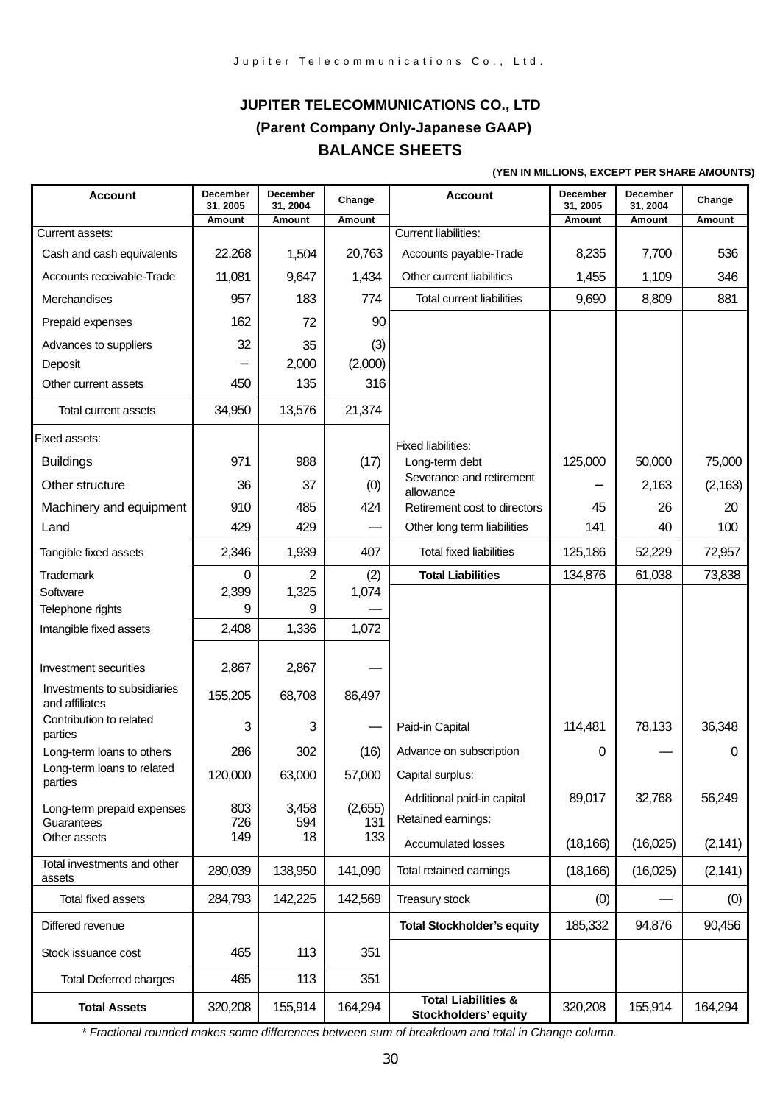# **JUPITER TELECOMMUNICATIONS CO., LTD (Parent Company Only-Japanese GAAP) BALANCE SHEETS**

#### **(YEN IN MILLIONS, EXCEPT PER SHARE AMOUNTS)**

| <b>Account</b>                                | December<br>31, 2005 | December<br>31, 2004 | Change         | <b>Account</b>                                         | December<br>31, 2005 | <b>December</b><br>31, 2004 | Change   |
|-----------------------------------------------|----------------------|----------------------|----------------|--------------------------------------------------------|----------------------|-----------------------------|----------|
|                                               | Amount               | Amount               | Amount         |                                                        | Amount               | Amount                      | Amount   |
| Current assets:                               |                      |                      |                | <b>Current liabilities:</b>                            |                      |                             |          |
| Cash and cash equivalents                     | 22,268               | 1,504                | 20,763         | Accounts payable-Trade                                 | 8,235                | 7,700                       | 536      |
| Accounts receivable-Trade                     | 11,081               | 9,647                | 1,434          | Other current liabilities                              | 1,455                | 1,109                       | 346      |
| Merchandises                                  | 957                  | 183                  | 774            | <b>Total current liabilities</b>                       | 9,690                | 8,809                       | 881      |
| Prepaid expenses                              | 162                  | 72                   | 90             |                                                        |                      |                             |          |
| Advances to suppliers                         | 32                   | 35                   | (3)            |                                                        |                      |                             |          |
| Deposit                                       |                      | 2,000                | (2,000)        |                                                        |                      |                             |          |
| Other current assets                          | 450                  | 135                  | 316            |                                                        |                      |                             |          |
| Total current assets                          | 34,950               | 13,576               | 21,374         |                                                        |                      |                             |          |
| Fixed assets:                                 |                      |                      |                | Fixed liabilities:                                     |                      |                             |          |
| <b>Buildings</b>                              | 971                  | 988                  | (17)           | Long-term debt                                         | 125,000              | 50,000                      | 75,000   |
| Other structure                               | 36                   | 37                   | (0)            | Severance and retirement                               |                      | 2,163                       | (2, 163) |
| Machinery and equipment                       | 910                  | 485                  | 424            | allowance<br>Retirement cost to directors              | 45                   | 26                          | 20       |
| Land                                          | 429                  | 429                  |                | Other long term liabilities                            | 141                  | 40                          | 100      |
| Tangible fixed assets                         | 2,346                | 1,939                | 407            | <b>Total fixed liabilities</b>                         | 125,186              | 52,229                      | 72,957   |
| Trademark                                     | 0                    | 2                    | (2)            | <b>Total Liabilities</b>                               | 134,876              | 61,038                      | 73,838   |
| Software                                      | 2,399                | 1,325                | 1,074          |                                                        |                      |                             |          |
| Telephone rights                              | 9                    | 9                    |                |                                                        |                      |                             |          |
| Intangible fixed assets                       | 2,408                | 1,336                | 1,072          |                                                        |                      |                             |          |
| Investment securities                         | 2,867                | 2,867                |                |                                                        |                      |                             |          |
| Investments to subsidiaries<br>and affiliates | 155,205              | 68,708               | 86,497         |                                                        |                      |                             |          |
| Contribution to related<br>parties            | 3                    | 3                    |                | Paid-in Capital                                        | 114,481              | 78,133                      | 36,348   |
| Long-term loans to others                     | 286                  | 302                  | (16)           | Advance on subscription                                | 0                    |                             | 0        |
| Long-term loans to related<br>parties         | 120,000              | 63,000               | 57,000         | Capital surplus:                                       |                      |                             |          |
|                                               |                      |                      |                | Additional paid-in capital                             | 89,017               | 32,768                      | 56,249   |
| Long-term prepaid expenses<br>Guarantees      | 803<br>726           | 3,458<br>594         | (2,655)<br>131 | Retained earnings:                                     |                      |                             |          |
| Other assets                                  | 149                  | 18                   | 133            | Accumulated losses                                     | (18, 166)            | (16,025)                    | (2, 141) |
| Total investments and other                   | 280,039              | 138,950              | 141,090        | Total retained earnings                                | (18, 166)            | (16,025)                    | (2, 141) |
| assets<br>Total fixed assets                  | 284,793              | 142,225              | 142,569        | Treasury stock                                         | (0)                  |                             | (0)      |
|                                               |                      |                      |                |                                                        |                      |                             |          |
| Differed revenue                              |                      |                      |                | <b>Total Stockholder's equity</b>                      | 185,332              | 94,876                      | 90,456   |
| Stock issuance cost                           | 465                  | 113                  | 351            |                                                        |                      |                             |          |
| <b>Total Deferred charges</b>                 | 465                  | 113                  | 351            |                                                        |                      |                             |          |
| <b>Total Assets</b>                           | 320,208              | 155,914              | 164,294        | <b>Total Liabilities &amp;</b><br>Stockholders' equity | 320,208              | 155,914                     | 164,294  |

*\* Fractional rounded makes some differences between sum of breakdown and total in Change column.*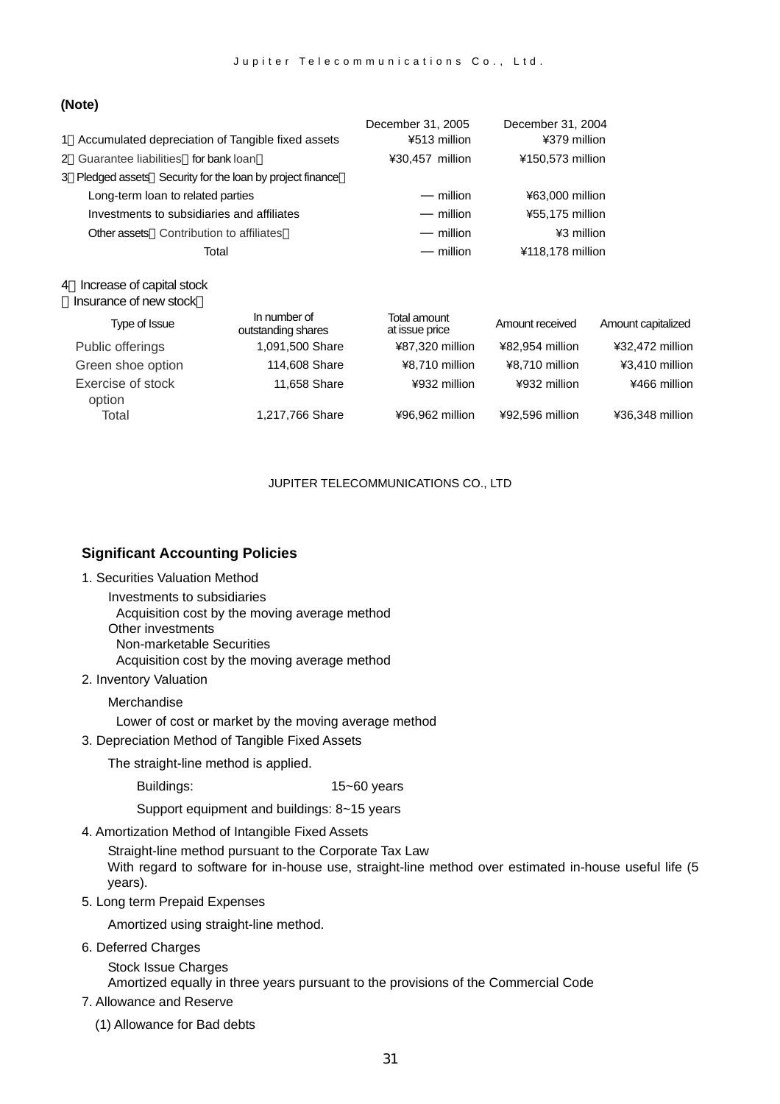#### **(Note)**

|   |                                                           |                                    | December 31, 2005              | December 31, 2004 |                    |
|---|-----------------------------------------------------------|------------------------------------|--------------------------------|-------------------|--------------------|
|   | 1 Accumulated depreciation of Tangible fixed assets       |                                    | ¥513 million                   | ¥379 million      |                    |
|   | 2 Guarantee liabilities for bank loan                     |                                    | ¥30,457 million                | ¥150,573 million  |                    |
|   | 3 Pledged assets Security for the loan by project finance |                                    |                                |                   |                    |
|   | Long-term loan to related parties                         |                                    | million                        | ¥63,000 million   |                    |
|   | Investments to subsidiaries and affiliates                |                                    | million                        | ¥55,175 million   |                    |
|   | <b>Other assets</b> Contribution to affiliates            |                                    | million                        | ¥3 million        |                    |
|   |                                                           | Total                              | million                        | ¥118,178 million  |                    |
| 4 | Increase of capital stock                                 |                                    |                                |                   |                    |
|   | Insurance of new stock                                    |                                    |                                |                   |                    |
|   | Type of Issue                                             | In number of<br>outstanding shares | Total amount<br>at issue price | Amount received   | Amount capitalized |
|   | Public offerings                                          | 1,091,500 Share                    | ¥87,320 million                | ¥82,954 million   | ¥32,472 million    |
|   | Green shoe option                                         | 114,608 Share                      | ¥8,710 million                 | ¥8,710 million    | ¥3,410 million     |
|   | Exercise of stock<br>option                               | 11,658 Share                       | ¥932 million                   | ¥932 million      | ¥466 million       |
|   | Total                                                     | 1,217,766 Share                    | ¥96,962 million                | ¥92,596 million   | ¥36,348 million    |

#### JUPITER TELECOMMUNICATIONS CO., LTD

#### **Significant Accounting Policies**

- 1. Securities Valuation Method
	- Investments to subsidiaries Acquisition cost by the moving average method Other investments Non-marketable Securities Acquisition cost by the moving average method
- 2. Inventory Valuation

#### Merchandise

Lower of cost or market by the moving average method

3. Depreciation Method of Tangible Fixed Assets

The straight-line method is applied.

Buildings: 15~60 years

Support equipment and buildings: 8~15 years

4. Amortization Method of Intangible Fixed Assets

Straight-line method pursuant to the Corporate Tax Law With regard to software for in-house use, straight-line method over estimated in-house useful life (5 years).

5. Long term Prepaid Expenses

Amortized using straight-line method.

6. Deferred Charges

Stock Issue Charges Amortized equally in three years pursuant to the provisions of the Commercial Code

- 7. Allowance and Reserve
	- (1) Allowance for Bad debts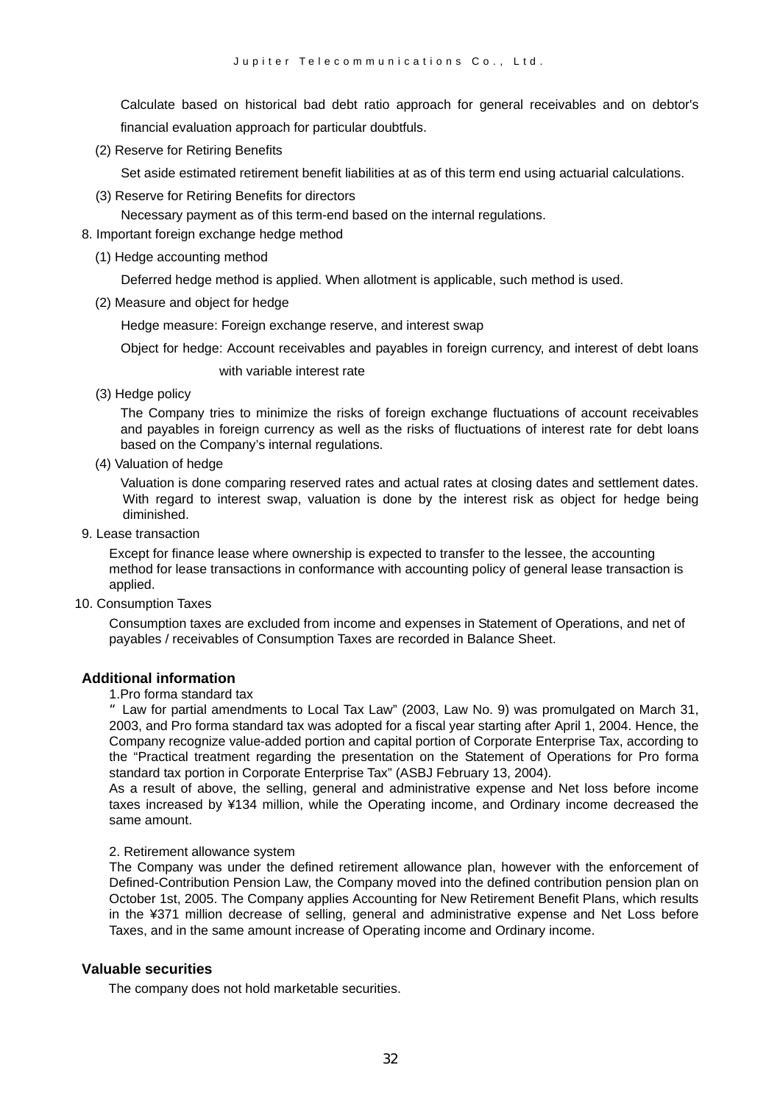Calculate based on historical bad debt ratio approach for general receivables and on debtor's financial evaluation approach for particular doubtfuls.

(2) Reserve for Retiring Benefits

Set aside estimated retirement benefit liabilities at as of this term end using actuarial calculations.

(3) Reserve for Retiring Benefits for directors

Necessary payment as of this term-end based on the internal regulations.

- 8. Important foreign exchange hedge method
	- (1) Hedge accounting method

Deferred hedge method is applied. When allotment is applicable, such method is used.

(2) Measure and object for hedge

Hedge measure: Foreign exchange reserve, and interest swap

Object for hedge: Account receivables and payables in foreign currency, and interest of debt loans

with variable interest rate

(3) Hedge policy

The Company tries to minimize the risks of foreign exchange fluctuations of account receivables and payables in foreign currency as well as the risks of fluctuations of interest rate for debt loans based on the Company's internal regulations.

(4) Valuation of hedge

Valuation is done comparing reserved rates and actual rates at closing dates and settlement dates. With regard to interest swap, valuation is done by the interest risk as object for hedge being diminished.

9. Lease transaction

Except for finance lease where ownership is expected to transfer to the lessee, the accounting method for lease transactions in conformance with accounting policy of general lease transaction is applied.

10. Consumption Taxes

Consumption taxes are excluded from income and expenses in Statement of Operations, and net of payables / receivables of Consumption Taxes are recorded in Balance Sheet.

#### **Additional information**

#### 1.Pro forma standard tax

"Law for partial amendments to Local Tax Law" (2003, Law No. 9) was promulgated on March 31, 2003, and Pro forma standard tax was adopted for a fiscal year starting after April 1, 2004. Hence, the Company recognize value-added portion and capital portion of Corporate Enterprise Tax, according to the "Practical treatment regarding the presentation on the Statement of Operations for Pro forma standard tax portion in Corporate Enterprise Tax" (ASBJ February 13, 2004).

As a result of above, the selling, general and administrative expense and Net loss before income taxes increased by ¥134 million, while the Operating income, and Ordinary income decreased the same amount.

#### 2. Retirement allowance system

The Company was under the defined retirement allowance plan, however with the enforcement of Defined-Contribution Pension Law, the Company moved into the defined contribution pension plan on October 1st, 2005. The Company applies Accounting for New Retirement Benefit Plans, which results in the ¥371 million decrease of selling, general and administrative expense and Net Loss before Taxes, and in the same amount increase of Operating income and Ordinary income.

#### **Valuable securities**

The company does not hold marketable securities.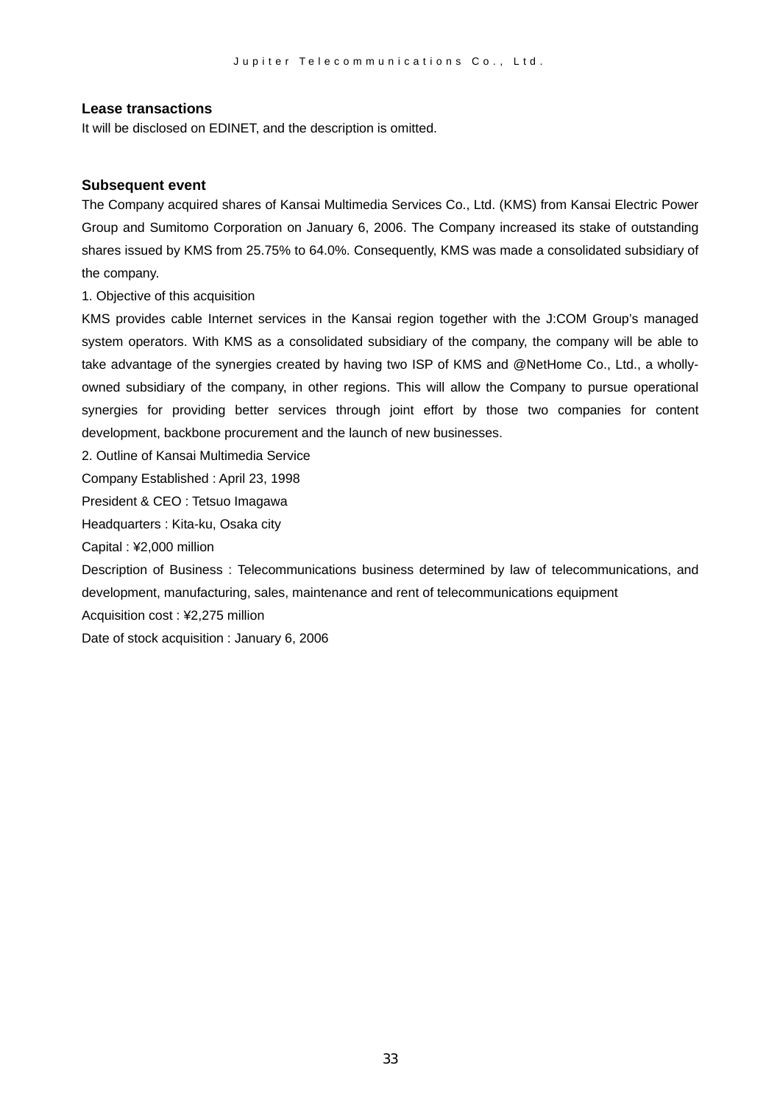#### **Lease transactions**

It will be disclosed on EDINET, and the description is omitted.

#### **Subsequent event**

The Company acquired shares of Kansai Multimedia Services Co., Ltd. (KMS) from Kansai Electric Power Group and Sumitomo Corporation on January 6, 2006. The Company increased its stake of outstanding shares issued by KMS from 25.75% to 64.0%. Consequently, KMS was made a consolidated subsidiary of the company.

1. Objective of this acquisition

KMS provides cable Internet services in the Kansai region together with the J:COM Group's managed system operators. With KMS as a consolidated subsidiary of the company, the company will be able to take advantage of the synergies created by having two ISP of KMS and @NetHome Co., Ltd., a whollyowned subsidiary of the company, in other regions. This will allow the Company to pursue operational synergies for providing better services through joint effort by those two companies for content development, backbone procurement and the launch of new businesses.

2. Outline of Kansai Multimedia Service

Company Established : April 23, 1998

President & CEO : Tetsuo Imagawa

Headquarters : Kita-ku, Osaka city

Capital : ¥2,000 million

Description of Business : Telecommunications business determined by law of telecommunications, and development, manufacturing, sales, maintenance and rent of telecommunications equipment

Acquisition cost : ¥2,275 million

Date of stock acquisition : January 6, 2006